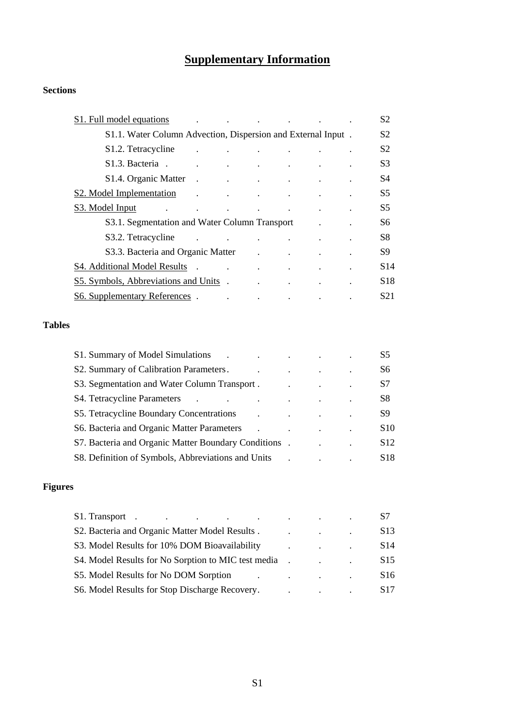# **Supplementary Information**

## **Sections**

| S1. Full model equations<br>the contract of the contract of the contract of the contract of |                                                                                                                 |                                                                       |                                   |                                                 | S <sub>2</sub>  |
|---------------------------------------------------------------------------------------------|-----------------------------------------------------------------------------------------------------------------|-----------------------------------------------------------------------|-----------------------------------|-------------------------------------------------|-----------------|
| S1.1. Water Column Advection, Dispersion and External Input.                                |                                                                                                                 |                                                                       |                                   |                                                 | S <sub>2</sub>  |
| S <sub>1.2</sub> . Tetracycline<br>$\ddot{\phantom{a}}$                                     |                                                                                                                 | and the state of the state of                                         | $\mathbf{z}$ and $\mathbf{z}$     |                                                 | S <sub>2</sub>  |
| S <sub>1.3</sub> Bacteria.                                                                  | the contract of the contract of the contract of the contract of                                                 |                                                                       |                                   |                                                 | S <sub>3</sub>  |
| S <sub>1.4</sub> . Organic Matter<br>$\sim$ .                                               | the contract of the contract of the contract of                                                                 |                                                                       |                                   |                                                 | S4              |
| S <sub>2</sub> . Model Implementation<br>$\ddot{\phantom{a}}$                               | the contract of the contract of the contract of                                                                 |                                                                       |                                   |                                                 | S5              |
| S3. Model Input<br><b>Contract Contract</b><br>$\Delta \sim 10^{11}$ m $^{-1}$              | $\sim$ $-$                                                                                                      | $\bullet$                                                             |                                   | the contract of the contract of the contract of | S <sub>5</sub>  |
| S3.1. Segmentation and Water Column Transport                                               |                                                                                                                 |                                                                       |                                   |                                                 | S6              |
| S3.2. Tetracycline<br>$\ddot{\phantom{a}}$                                                  | the contract of the contract of the contract of the contract of the contract of the contract of the contract of |                                                                       |                                   |                                                 | S8              |
| S3.3. Bacteria and Organic Matter                                                           |                                                                                                                 |                                                                       | and the state of the state of the |                                                 | S9              |
| S4. Additional Model Results .                                                              |                                                                                                                 | $\mathbf{r}$ , and $\mathbf{r}$ , and $\mathbf{r}$ , and $\mathbf{r}$ |                                   |                                                 | S14             |
| S5. Symbols, Abbreviations and Units.                                                       |                                                                                                                 |                                                                       |                                   |                                                 | S <sub>18</sub> |
| <b>S6. Supplementary References</b> .                                                       | $\ddot{\phantom{0}}$                                                                                            |                                                                       | $\bullet$                         |                                                 | S <sub>21</sub> |

## **Tables**

| S1. Summary of Model Simulations                     |  |                      | S <sub>5</sub>  |
|------------------------------------------------------|--|----------------------|-----------------|
| S2. Summary of Calibration Parameters.               |  |                      | S6              |
| S3. Segmentation and Water Column Transport.         |  | $\ddot{\phantom{0}}$ | S7              |
| S4. Tetracycline Parameters                          |  |                      | S8              |
| S5. Tetracycline Boundary Concentrations             |  |                      | S9              |
| S6. Bacteria and Organic Matter Parameters           |  |                      | S <sub>10</sub> |
| S7. Bacteria and Organic Matter Boundary Conditions. |  | $\bullet$            | S <sub>12</sub> |
| S8. Definition of Symbols, Abbreviations and Units   |  |                      | S <sub>18</sub> |

## **Figures**

| S1. Transport.<br>the contract of the contract of the contract of the contract of the contract of | <b>Contract Contract</b> | S7              |
|---------------------------------------------------------------------------------------------------|--------------------------|-----------------|
| S2. Bacteria and Organic Matter Model Results.                                                    |                          | S <sub>13</sub> |
| S3. Model Results for 10% DOM Bioavailability                                                     |                          | S <sub>14</sub> |
| S4. Model Results for No Sorption to MIC test media                                               |                          | S <sub>15</sub> |
| S5. Model Results for No DOM Sorption                                                             | $\sim 100$               | S <sub>16</sub> |
| S6. Model Results for Stop Discharge Recovery.                                                    |                          | S <sub>17</sub> |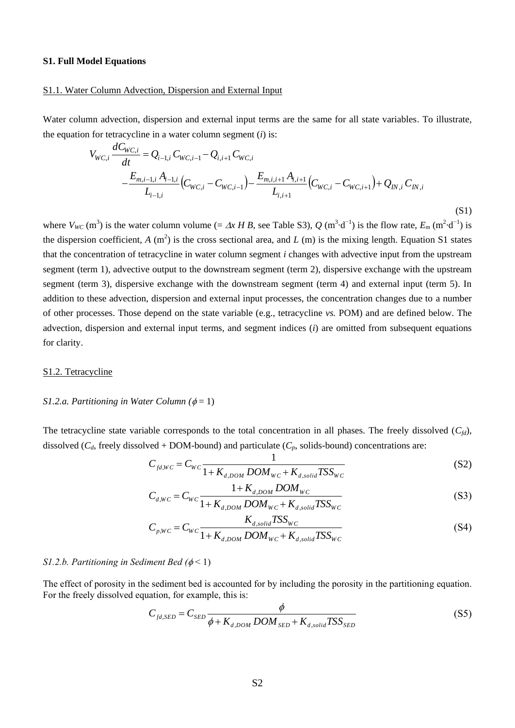## **S1. Full Model Equations**

## S1.1. Water Column Advection, Dispersion and External Input

Water column advection, dispersion and external input terms are the same for all state variables. To illustrate, *x*<br>cycl<br>*WC*,*i* 

the equation for tetracyclicine in a water column segment (*i*) is:  
\n
$$
V_{WC,i} \frac{dC_{WC,i}}{dt} = Q_{i-1,i} C_{WC,i-1} - Q_{i,i+1} C_{WC,i} - C_{WC,i} - \frac{E_{m,i,i+1} A_{i,i+1}}{L_{i,i+1}} (C_{WC,i} - C_{WC,i+1}) + Q_{IN,i} C_{IN,i} - \frac{E_{m,i-1,i} A_{i-1,i}}{L_{i-1,i}} (C_{WC,i} - C_{WC,i+1})
$$
\n(S1)

where  $V_{WC}$  (m<sup>3</sup>) is the water column volume (=  $\Delta x$  *H B*, see Table S3),  $Q$  (m<sup>3</sup> d<sup>-1</sup>) is the flow rate,  $E_m$  (m<sup>2</sup> d<sup>-1</sup>) is the dispersion coefficient,  $A(m^2)$  is the cross sectional area, and  $L(m)$  is the mixing length. Equation S1 states that the concentration of tetracycline in water column segment *i* changes with advective input from the upstream segment (term 1), advective output to the downstream segment (term 2), dispersive exchange with the upstream segment (term 3), dispersive exchange with the downstream segment (term 4) and external input (term 5). In addition to these advection, dispersion and external input processes, the concentration changes due to a number of other processes. Those depend on the state variable (e.g., tetracycline *vs.* POM) and are defined below. The advection, dispersion and external input terms, and segment indices (*i*) are omitted from subsequent equations for clarity.

#### S1.2. Tetracycline

## *S1.2.a. Partitioning in Water Column* ( $\phi = 1$ )

The tetracycline state variable corresponds to the total concentration in all phases. The freely dissolved  $(C_{fd})$ , dissolved ( $C_d$ , freely dissolved + DOM-bound) and particulate ( $C_p$ , solids-bound) concentrations are:

$$
C_{fd,WC} = C_{WC} \frac{1}{1 + K_{d,DOM} DOM_{WC} + K_{d,solid}TSS_{WC}}
$$
(S2)

$$
C_{d,WC} = C_{WC} \frac{1 + K_{d,DOM} DOM_{WC}}{1 + K_{d,DOM} DOM_{WC} + K_{d,solid}TSS_{WC}}
$$
(S3)

$$
C_{p,WC} = C_{WC} \frac{K_{d, solid} T S S_{WC}}{1 + K_{d,DOM} DOM_{WC} + K_{d,solid} T S S_{WC}}
$$
(S4)

## *S1.2.b. Partitioning in Sediment Bed*  $(\phi < 1)$

The effect of porosity in the sediment bed is accounted for by including the porosity in the partitioning equation. For the freely dissolved equation, for example, this is:

 $\overline{1}$ 

$$
C_{fd,SED} = C_{SED} \frac{\phi}{\phi + K_{d,DOM} DOM_{SED} + K_{d,solid}TSS_{SED}}
$$
(S5)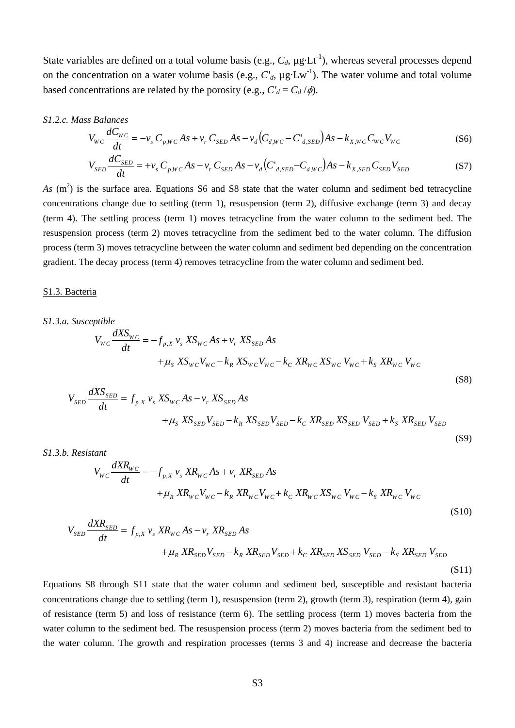State variables are defined on a total volume basis (e.g.,  $C_d$ ,  $\mu$ g Lt<sup>-1</sup>), whereas several processes depend on the concentration on a water volume basis (e.g.,  $C'_{d}$ ,  $\mu$ g Lw<sup>-1</sup>). The water volume and total volume based concentrations are related by the porosity (e.g.,  $C_d = C_d / \phi$ ).

*S1.2.c. Mass Balances*<br>*V*<sub>WC</sub> <u>*dC<sub>WC</sub>*</u>

$$
V_{WC} \frac{dC_{WC}}{dt} = -v_s C_{p,WC} As + v_r C_{SED} As - v_d (C_{d,WC} - C_{d,SED}) As - k_{X,WC} C_{WC} V_{WC}
$$
(S6)

$$
V_{SED}\frac{dC_{SED}}{dt} = +v_s C_{p,WC} As - v_r C_{SED} As - v_d (C_{d,SED} - C_{d,WC}) As - k_{X,SED} C_{SED} V_{SED}
$$
(S7)

 $As \text{ (m}^2)$  is the surface area. Equations S6 and S8 state that the water column and sediment bed tetracycline concentrations change due to settling (term 1), resuspension (term 2), diffusive exchange (term 3) and decay (term 4). The settling process (term 1) moves tetracycline from the water column to the sediment bed. The resuspension process (term 2) moves tetracycline from the sediment bed to the water column. The diffusion process (term 3) moves tetracycline between the water column and sediment bed depending on the concentration gradient. The decay process (term 4) removes tetracycline from the water column and sediment bed.

#### S1.3. Bacteria

# *S1.3.a. Susceptible*  $+ \mu_{S} X S_{WC} V_{WC} - k_{R} X S_{WC} V_{WC} - k_{C} X R_{WC} X S_{WC} V_{WC} + k_{S} X R_{WC} V_{WC}$ *<sup>p</sup> <sup>X</sup> <sup>s</sup> W C <sup>r</sup> SED W C W C f v XS As v XS As dXS <sup>V</sup>* ,  $\frac{dS}{dt}$ (S8)  $\sum_{p,X} v_s X S_{WC} A s - v_r X S_{SED}$  $\frac{dS_{\rm g}}{dt}$

$$
V_{SED} \frac{dXS_{SED}}{dt} = f_{p,X} v_s X S_{WC} As - v_r X S_{SED} As
$$
  
+
$$
\mu_S X S_{SED} V_{SED} - k_R X S_{SED} V_{SED} - k_C X R_{SED} X S_{SED} V_{SED} + k_S X R_{SED} V_{SED}
$$

*S1.3.b. Resistant*

$$
V_{WC} \frac{dX R_{WC}}{dt} = -f_{p,X} v_s X R_{WC} A s + v_r X R_{SED} A s + \mu_R X R_{WC} V_{WC} - k_R X R_{WC} V_{WC} + k_C X R_{WC} X S_{WC} V_{WC} - k_S X R_{WC} V_{WC}
$$
\n(S10)

(S9)

$$
+ \mu_{R} X R_{WC} V_{WC} - k_{R} X R_{WC} V_{WC} + k_{C} X R_{WC} X S_{WC} V_{WC} - k_{S} X R_{WC} V_{WC}
$$
\n
$$
V_{SED} \frac{d X R_{SED}}{dt} = f_{p,X} v_{s} X R_{WC} A s - v_{r} X R_{SED} A s + \mu_{R} X R_{SED} V_{SED} - k_{R} X R_{SED} V_{SED} + k_{C} X R_{SED} X S_{SED} V_{SED} - k_{S} X R_{SED} V_{SED}
$$
\n
$$
(S11)
$$

Equations S8 through S11 state that the water column and sediment bed, susceptible and resistant bacteria concentrations change due to settling (term 1), resuspension (term 2), growth (term 3), respiration (term 4), gain of resistance (term 5) and loss of resistance (term 6). The settling process (term 1) moves bacteria from the water column to the sediment bed. The resuspension process (term 2) moves bacteria from the sediment bed to the water column. The growth and respiration processes (terms 3 and 4) increase and decrease the bacteria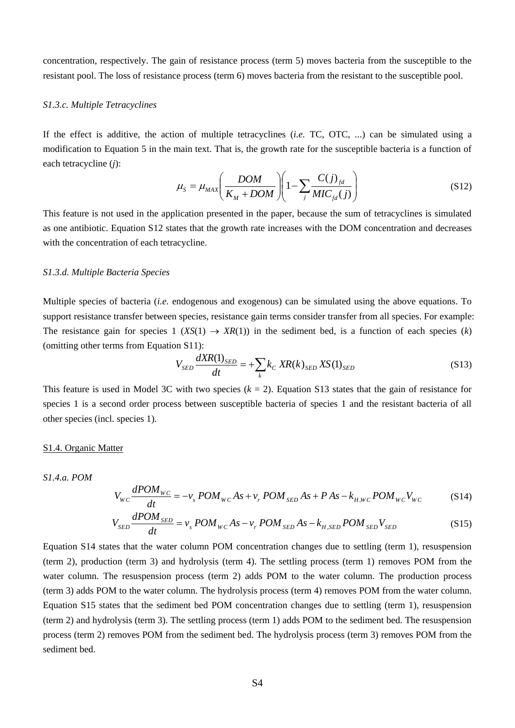concentration, respectively. The gain of resistance process (term 5) moves bacteria from the susceptible to the resistant pool. The loss of resistance process (term 6) moves bacteria from the resistant to the susceptible pool.

#### *S1.3.c. Multiple Tetracyclines*

If the effect is additive, the action of multiple tetracyclines (*i.e.* TC, OTC, ...) can be simulated using a modification to Equation 5 in the main text. That is, the growth rate for the susceptible bacteria is a function of each tetracycline (*j*):

$$
\mu_{S} = \mu_{MAX} \left( \frac{DOM}{K_M + DOM} \right) \left( 1 - \sum_{j} \frac{C(j)_{fd}}{MIC_{fd}(j)} \right)
$$
(S12)

This feature is not used in the application presented in the paper, because the sum of tetracyclines is simulated as one antibiotic. Equation S12 states that the growth rate increases with the DOM concentration and decreases with the concentration of each tetracycline.

## *S1.3.d. Multiple Bacteria Species*

Multiple species of bacteria (*i.e.* endogenous and exogenous) can be simulated using the above equations. To support resistance transfer between species, resistance gain terms consider transfer from all species. For example: The resistance gain for species  $1 (XS(1) \rightarrow XR(1))$  in the sediment bed, is a function of each species (*k*) (omitting other terms from Equation S11):

$$
V_{SED} \frac{dXR(1)_{SED}}{dt} = +\sum_{k} k_C XR(k)_{SED} XS(1)_{SED}
$$
 (S13)

This feature is used in Model 3C with two species  $(k = 2)$ . Equation S13 states that the gain of resistance for species 1 is a second order process between susceptible bacteria of species 1 and the resistant bacteria of all other species (incl. species 1).

#### S1.4. Organic Matter

## *S1.4.a. POM*

$$
V_{WC} \frac{dPOM_{WC}}{dt} = -v_s POM_{WC} As + v_r POM_{SED} As + P As - k_{H,WC} POM_{WC} V_{WC}
$$
 (S14)

$$
V_{SED} \frac{dPOM_{SED}}{dt} = v_s POM_{WC} As - v_r POM_{SED} As - k_{H,SED} POM_{SED} V_{SED}
$$
 (S15)

Equation S14 states that the water column POM concentration changes due to settling (term 1), resuspension (term 2), production (term 3) and hydrolysis (term 4). The settling process (term 1) removes POM from the water column. The resuspension process (term 2) adds POM to the water column. The production process (term 3) adds POM to the water column. The hydrolysis process (term 4) removes POM from the water column. Equation S15 states that the sediment bed POM concentration changes due to settling (term 1), resuspension (term 2) and hydrolysis (term 3). The settling process (term 1) adds POM to the sediment bed. The resuspension process (term 2) removes POM from the sediment bed. The hydrolysis process (term 3) removes POM from the sediment bed.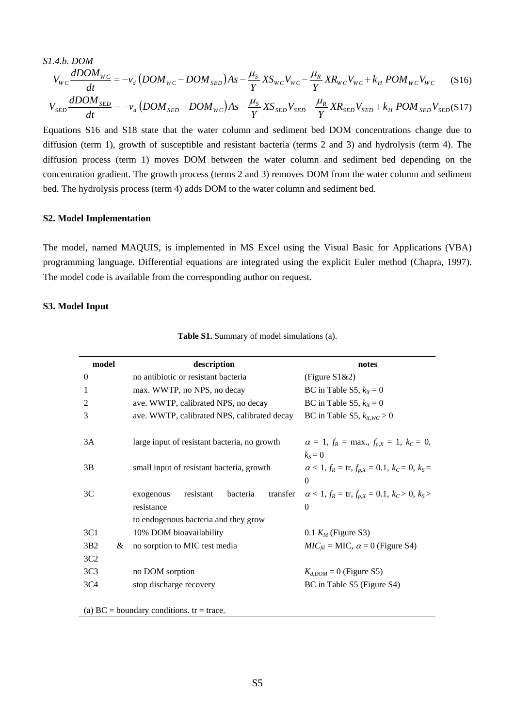S1.4.b. DOM  
\n
$$
V_{WC} \frac{dDOM_{WC}}{dt} = -v_d (DOM_{WC} - DOM_{SED})As - \frac{\mu_s}{Y}XS_{WC}V_{WC} - \frac{\mu_R}{Y}XR_{WC}V_{WC} + k_H POM_{WC}V_{WC}
$$
\n(S16)  
\n
$$
V_{SED} \frac{dDOM_{SED}}{dt} = -v_d (DOM_{SED} - DOM_{WC})As - \frac{\mu_s}{Y}XS_{SED}V_{SED} - \frac{\mu_R}{Y}XR_{SED}V_{SED} + k_H POM_{SED}V_{SED}(S17))
$$
\nEquations S16 and S18 state that the water column and sediment bed DOM concentrations change due to

Equations S16 and S18 state that the water column and sediment bed DOM concentrations change due to diffusion (term 1), growth of susceptible and resistant bacteria (terms 2 and 3) and hydrolysis (term 4). The diffusion process (term 1) moves DOM between the water column and sediment bed depending on the concentration gradient. The growth process (terms 2 and 3) removes DOM from the water column and sediment bed. The hydrolysis process (term 4) adds DOM to the water column and sediment bed.

#### **S2. Model Implementation**

The model, named MAQUIS, is implemented in MS Excel using the Visual Basic for Applications (VBA) programming language. Differential equations are integrated using the explicit Euler method (Chapra, 1997). The model code is available from the corresponding author on request.

#### **S3. Model Input**

| model            |   | description                                                                                          | notes                                                                     |
|------------------|---|------------------------------------------------------------------------------------------------------|---------------------------------------------------------------------------|
| $\boldsymbol{0}$ |   | no antibiotic or resistant bacteria                                                                  | (Figure $S1&2$ )                                                          |
| 1                |   | max. WWTP, no NPS, no decay                                                                          | BC in Table S5, $k_x = 0$                                                 |
| 2                |   | ave. WWTP, calibrated NPS, no decay                                                                  | BC in Table S5, $k_X = 0$                                                 |
| 3                |   | ave. WWTP, calibrated NPS, calibrated decay                                                          | BC in Table S5, $k_{XWC} > 0$                                             |
| 3A               |   | large input of resistant bacteria, no growth                                                         | $\alpha = 1, f_R = \max, f_{p,X} = 1, k_C = 0,$<br>$k_s = 0$              |
| 3B               |   | small input of resistant bacteria, growth                                                            | $\alpha$ < 1, $f_R$ = tr, $f_{p,X}$ = 0.1, $k_C$ = 0, $k_S$ =<br>$\theta$ |
| 3C               |   | bacteria<br>transfer<br>resistant<br>exogenous<br>resistance<br>to endogenous bacteria and they grow | $\alpha$ < 1, $f_R$ = tr, $f_{p,X}$ = 0.1, $k_C$ > 0, $k_S$ ><br>$\Omega$ |
| 3C1              |   | 10% DOM bioavailability                                                                              | 0.1 $K_M$ (Figure S3)                                                     |
| 3B2              | & | no sorption to MIC test media                                                                        | $MICfd = MIC, \alpha = 0$ (Figure S4)                                     |
| 3C2              |   |                                                                                                      |                                                                           |
| 3C <sub>3</sub>  |   | no DOM sorption                                                                                      | $K_{d,DOM} = 0$ (Figure S5)                                               |
| 3C <sub>4</sub>  |   | stop discharge recovery                                                                              | BC in Table S5 (Figure S4)                                                |
|                  |   | $(1)$ DO $(1)$ and $(2)$ and $(3)$ and $(4)$                                                         |                                                                           |

#### **Table S1.** Summary of model simulations (a).

(a)  $BC =$  boundary conditions. tr = trace.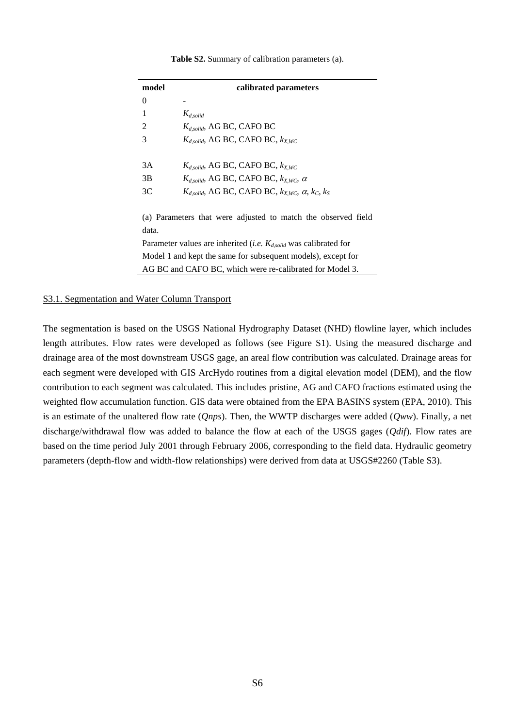| model            | calibrated parameters                                                          |
|------------------|--------------------------------------------------------------------------------|
| $\boldsymbol{0}$ |                                                                                |
| 1                | $K_{d, solid}$                                                                 |
| 2                | $K_{d, solid}$ , AG BC, CAFO BC                                                |
| 3                | $K_{d, solid}$ , AG BC, CAFO BC, $k_{XWC}$                                     |
|                  |                                                                                |
| 3A               | $K_{d, solid}$ , AG BC, CAFO BC, $k_{X,WC}$                                    |
| 3B               | $K_{d, solid}$ , AG BC, CAFO BC, $k_{XWC}$ , $\alpha$                          |
| 3C               | $K_{d, solid}$ , AG BC, CAFO BC, $k_{X,WC}$ , $\alpha$ , $k_C$ , $k_S$         |
|                  |                                                                                |
|                  | (a) Parameters that were adjusted to match the observed field                  |
| data.            |                                                                                |
|                  | Parameter values are inherited ( <i>i.e.</i> $K_{d, solid}$ was calibrated for |
|                  | Model 1 and kept the same for subsequent models), except for                   |
|                  | AG BC and CAFO BC, which were re-calibrated for Model 3.                       |

#### **Table S2.** Summary of calibration parameters (a).

#### S3.1. Segmentation and Water Column Transport

The segmentation is based on the USGS National Hydrography Dataset (NHD) flowline layer, which includes length attributes. Flow rates were developed as follows (see Figure S1). Using the measured discharge and drainage area of the most downstream USGS gage, an areal flow contribution was calculated. Drainage areas for each segment were developed with GIS ArcHydo routines from a digital elevation model (DEM), and the flow contribution to each segment was calculated. This includes pristine, AG and CAFO fractions estimated using the weighted flow accumulation function. GIS data were obtained from the EPA BASINS system (EPA, 2010). This is an estimate of the unaltered flow rate (*Qnps*). Then, the WWTP discharges were added (*Qww*). Finally, a net discharge/withdrawal flow was added to balance the flow at each of the USGS gages (*Qdif*). Flow rates are based on the time period July 2001 through February 2006, corresponding to the field data. Hydraulic geometry parameters (depth-flow and width-flow relationships) were derived from data at USGS#2260 (Table S3).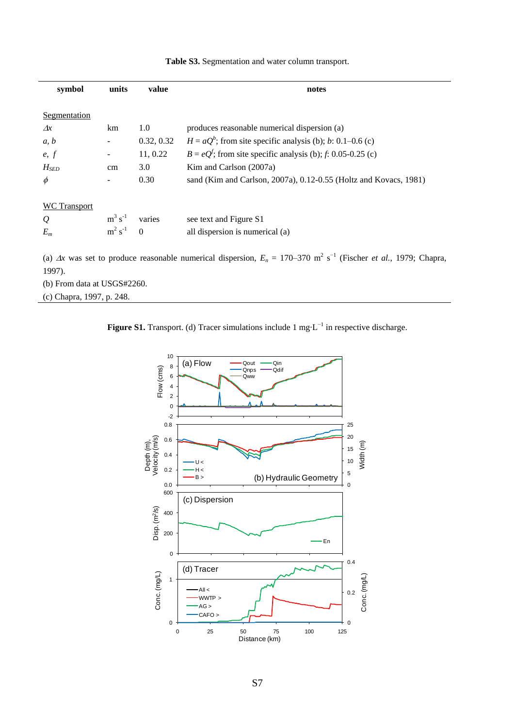| symbol        | units            | value                        | notes                                                                                                                                                    |
|---------------|------------------|------------------------------|----------------------------------------------------------------------------------------------------------------------------------------------------------|
|               |                  |                              |                                                                                                                                                          |
| Segmentation  |                  |                              |                                                                                                                                                          |
| $\Delta x$    | km               | 1.0                          | produces reasonable numerical dispersion (a)                                                                                                             |
| a, b          | $\blacksquare$   | 0.32, 0.32                   | $H = aQb$ ; from site specific analysis (b); b: 0.1–0.6 (c)                                                                                              |
| e, f          |                  | 11, 0.22                     | $B = eQ^{f}$ ; from site specific analysis (b); f: 0.05-0.25 (c)                                                                                         |
| $H_{SED}$     | cm               | 3.0                          | Kim and Carlson (2007a)                                                                                                                                  |
| $\phi$        |                  | 0.30                         | sand (Kim and Carlson, 2007a), 0.12-0.55 (Holtz and Kovacs, 1981)                                                                                        |
|               |                  |                              |                                                                                                                                                          |
| WC Transport  |                  |                              |                                                                                                                                                          |
| $\mathcal{Q}$ |                  | $m^3$ s <sup>-1</sup> varies | see text and Figure S1                                                                                                                                   |
| $E_m$         | $m^2 s^{-1} = 0$ |                              | all dispersion is numerical (a)                                                                                                                          |
|               |                  |                              |                                                                                                                                                          |
| 1997).        |                  |                              | (a) $\Delta x$ was set to produce reasonable numerical dispersion, $E_n = 170-370$ m <sup>2</sup> s <sup>-1</sup> (Fischer <i>et al.</i> , 1979; Chapra, |

**Table S3.** Segmentation and water column transport.

(b) From data at USGS#2260.

(c) Chapra, 1997, p. 248.



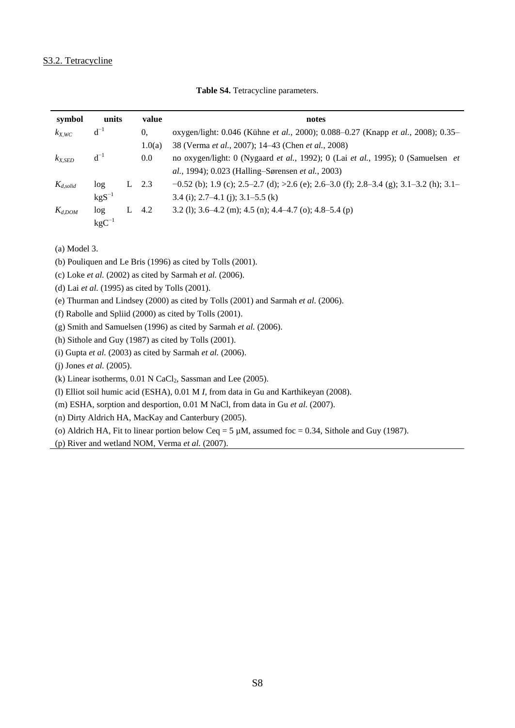## S3.2. Tetracycline

| symbol        | units            |   | value  | notes                                                                                                   |
|---------------|------------------|---|--------|---------------------------------------------------------------------------------------------------------|
| $k_{X,WC}$    | $d^{-1}$         |   | 0.     | oxygen/light: 0.046 (K ühne et al., 2000); 0.088-0.27 (Knapp et al., 2008); 0.35-                       |
|               |                  |   | 1.0(a) | 38 (Verma <i>et al.</i> , 2007); 14–43 (Chen <i>et al.</i> , 2008)                                      |
| $k_{X,SED}$   | $d^{-1}$         |   | 0.0    | no oxygen/light: 0 (Nygaard <i>et al.</i> , 1992); 0 (Lai <i>et al.</i> , 1995); 0 (Samuelsen <i>et</i> |
|               |                  |   |        | al., 1994); 0.023 (Halling–S grensen et al., 2003)                                                      |
| $K_{d,solid}$ | log <sub>1</sub> | L | 2.3    | $-0.52$ (b); 1.9 (c); 2.5–2.7 (d); >2.6 (e); 2.6–3.0 (f); 2.8–3.4 (g); 3.1–3.2 (h); 3.1–                |
|               | $kgS^{-1}$       |   |        | $3.4$ (i); $2.7-4.1$ (i); $3.1-5.5$ (k)                                                                 |
| $K_{d,DOM}$   | log              |   | 4.2    | 3.2 (1); 3.6–4.2 (m); 4.5 (n); 4.4–4.7 (o); 4.8–5.4 (p)                                                 |
|               | $kgC^{-1}$       |   |        |                                                                                                         |

**Table S4.** Tetracycline parameters.

(a) Model 3.

(b) Pouliquen and Le Bris (1996) as cited by Tolls (2001).

(c) Loke *et al.* (2002) as cited by Sarmah *et al.* (2006).

(d) Lai *et al.* (1995) as cited by Tolls (2001).

(e) Thurman and Lindsey (2000) as cited by Tolls (2001) and Sarmah *et al.* (2006).

(f) Rabolle and Spliid (2000) as cited by Tolls (2001).

(g) Smith and Samuelsen (1996) as cited by Sarmah *et al.* (2006).

(h) Sithole and Guy (1987) as cited by Tolls (2001).

(i) Gupta *et al.* (2003) as cited by Sarmah *et al.* (2006).

(j) Jones *et al.* (2005).

(k) Linear isotherms,  $0.01$  N CaCl<sub>2</sub>, Sassman and Lee (2005).

(l) Elliot soil humic acid (ESHA), 0.01 M *I*, from data in Gu and Karthikeyan (2008).

(m) ESHA, sorption and desportion, 0.01 M NaCl, from data in Gu *et al.* (2007).

(n) Dirty Aldrich HA, MacKay and Canterbury (2005).

(o) Aldrich HA, Fit to linear portion below Ceq = 5  $\mu$ M, assumed foc = 0.34, Sithole and Guy (1987).

(p) River and wetland NOM, Verma *et al.* (2007).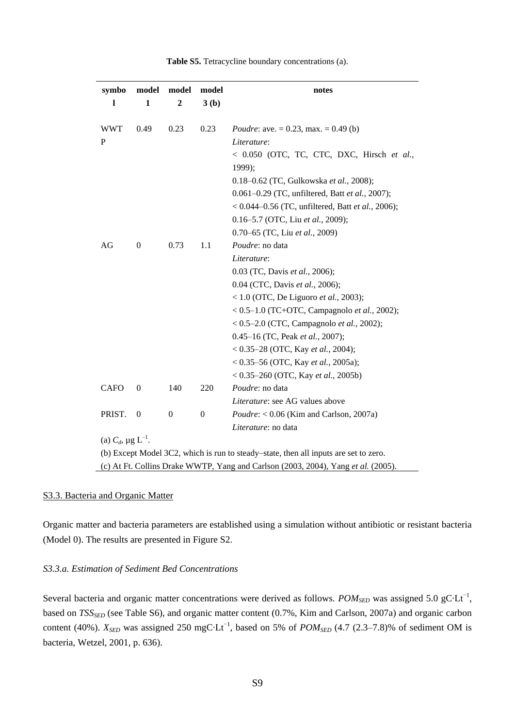| symbo                                                                             | model            | model            | model            | notes                                                                                                                                                                                                                                                                                                          |  |
|-----------------------------------------------------------------------------------|------------------|------------------|------------------|----------------------------------------------------------------------------------------------------------------------------------------------------------------------------------------------------------------------------------------------------------------------------------------------------------------|--|
| 1                                                                                 | 1                | $\mathbf{2}$     | 3(b)             |                                                                                                                                                                                                                                                                                                                |  |
| <b>WWT</b><br>P                                                                   | 0.49             | 0.23             | 0.23             | <i>Poudre:</i> ave. = 0.23, max. = 0.49 (b)<br>Literature:<br>< 0.050 (OTC, TC, CTC, DXC, Hirsch et al.,<br>1999);<br>0.18-0.62 (TC, Gulkowska et al., 2008);<br>0.061-0.29 (TC, unfiltered, Batt et al., 2007);<br>< $0.044 - 0.56$ (TC, unfiltered, Batt et al., 2006);<br>0.16-5.7 (OTC, Liu et al., 2009); |  |
| AG                                                                                | $\theta$         | 0.73             | 1.1              | 0.70-65 (TC, Liu et al., 2009)<br>Poudre: no data<br>Literature:<br>0.03 (TC, Davis et al., 2006);<br>0.04 (CTC, Davis et al., 2006);<br>< 1.0 (OTC, De Liguoro et al., 2003);<br>< $0.5-1.0$ (TC+OTC, Campagnolo et al., 2002);<br>< $0.5-2.0$ (CTC, Campagnolo <i>et al.</i> , 2002);                        |  |
|                                                                                   |                  |                  |                  | 0.45-16 (TC, Peak et al., 2007);<br>< $0.35-28$ (OTC, Kay <i>et al.</i> , 2004);<br>< $0.35-56$ (OTC, Kay <i>et al.</i> , 2005a);<br>< $0.35-260$ (OTC, Kay et al., 2005b)                                                                                                                                     |  |
| <b>CAFO</b>                                                                       | $\boldsymbol{0}$ | 140              | 220              | Poudre: no data                                                                                                                                                                                                                                                                                                |  |
| PRIST.                                                                            | $\mathbf{0}$     | $\boldsymbol{0}$ | $\boldsymbol{0}$ | <i>Literature:</i> see AG values above<br>$Poudre: < 0.06$ (Kim and Carlson, 2007a)<br>Literature: no data                                                                                                                                                                                                     |  |
| (a) $C_d$ , $\mu$ g L <sup>-1</sup> .                                             |                  |                  |                  |                                                                                                                                                                                                                                                                                                                |  |
|                                                                                   |                  |                  |                  | (b) Except Model 3C2, which is run to steady–state, then all inputs are set to zero.                                                                                                                                                                                                                           |  |
| (c) At Ft. Collins Drake WWTP, Yang and Carlson (2003, 2004), Yang et al. (2005). |                  |                  |                  |                                                                                                                                                                                                                                                                                                                |  |

**Table S5.** Tetracycline boundary concentrations (a).

#### S3.3. Bacteria and Organic Matter

Organic matter and bacteria parameters are established using a simulation without antibiotic or resistant bacteria (Model 0). The results are presented in Figure S2.

#### *S3.3.a. Estimation of Sediment Bed Concentrations*

Several bacteria and organic matter concentrations were derived as follows.  $POM<sub>SED</sub>$  was assigned 5.0 gC Lt<sup>-1</sup>, based on *TSSSED* (see Table S6), and organic matter content (0.7%, Kim and Carlson, 2007a) and organic carbon content (40%).  $X_{SED}$  was assigned 250 mgC Lt<sup>-1</sup>, based on 5% of *POM<sub>SED</sub>* (4.7 (2.3–7.8)% of sediment OM is bacteria, Wetzel, 2001, p. 636).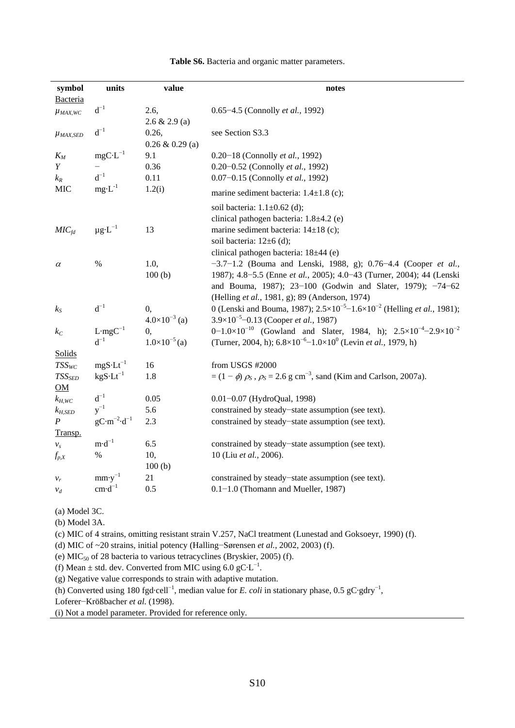| symbol            | units                              | value                  | notes                                                                                                   |
|-------------------|------------------------------------|------------------------|---------------------------------------------------------------------------------------------------------|
| Bacteria          |                                    |                        |                                                                                                         |
| $\mu_{MAX,WC}$    | $d^{-1}$                           | 2.6,                   | 0.65-4.5 (Connolly et al., 1992)                                                                        |
|                   |                                    | 2.6 & 2.9 (a)          |                                                                                                         |
| <b>µMAX,SED</b>   | $d^{-1}$                           | 0.26,                  | see Section S3.3                                                                                        |
|                   |                                    | $0.26 \& 0.29$ (a)     |                                                                                                         |
| $K_M$             | $mgC L^{-1}$                       | 9.1                    | 0.20-18 (Connolly et al., 1992)                                                                         |
| Y                 |                                    | 0.36                   | 0.20-0.52 (Connolly et al., 1992)                                                                       |
| $k_R$             | $d^{-1}$                           | 0.11                   | 0.07-0.15 (Connolly et al., 1992)                                                                       |
| <b>MIC</b>        | $mg L^{-1}$                        | 1.2(i)                 | marine sediment bacteria: $1.4 \pm 1.8$ (c);                                                            |
|                   |                                    |                        | soil bacteria: 1.1 ±0.62 (d);                                                                           |
|                   |                                    |                        | clinical pathogen bacteria: 1.8 ±4.2 (e)                                                                |
| MIC <sub>fd</sub> | $\mu$ g L <sup>-1</sup>            | 13                     | marine sediment bacteria: $14 \pm 18$ (c);                                                              |
|                   |                                    |                        | soil bacteria: $12 \pm 6$ (d);                                                                          |
|                   |                                    |                        | clinical pathogen bacteria: 18 ±44 (e)                                                                  |
| $\alpha$          | $\%$                               | 1.0,                   | $-3.7-1.2$ (Bouma and Lenski, 1988, g); 0.76-4.4 (Cooper et al.,                                        |
|                   |                                    | 100(b)                 | 1987); 4.8-5.5 (Enne et al., 2005); 4.0-43 (Turner, 2004); 44 (Lenski                                   |
|                   |                                    |                        | and Bouma, 1987); 23-100 (Godwin and Slater, 1979); -74-62                                              |
|                   |                                    |                        | (Helling et al., 1981, g); 89 (Anderson, 1974)                                                          |
| $k_{S}$           | $d^{-1}$                           | 0,                     | 0 (Lenski and Bouma, 1987); $2.5 \times 10^{-5}$ – $1.6 \times 10^{-2}$ (Helling <i>et al.</i> , 1981); |
|                   |                                    | $4.0\times10^{-3}$ (a) | $3.9\times10^{-5}$ -0.13 (Cooper <i>et al.</i> , 1987)                                                  |
| $k_C$             | L mg $C^{-1}$                      | 0,                     | 0-1.0×10 <sup>-10</sup> (Gowland and Slater, 1984, h); $2.5 \times 10^{-4} - 2.9 \times 10^{-2}$        |
|                   | $d^{-1}$                           | $1.0\times10^{-5}$ (a) | (Turner, 2004, h); $6.8 \times 10^{-6} - 1.0 \times 10^{0}$ (Levin <i>et al.</i> , 1979, h)             |
| Solids            |                                    |                        |                                                                                                         |
| $TSS_{WC}$        | $mgS$ Lt <sup>-1</sup>             | 16                     | from USGS #2000                                                                                         |
| $TSS_{SED}$       | $kgS$ $Lt^{-1}$                    | 1.8                    | $=(1 - \phi)\rho_s$ , $\rho_s = 2.6$ g cm <sup>-3</sup> , sand (Kim and Carlson, 2007a).                |
| $\underline{OM}$  |                                    |                        |                                                                                                         |
| $k_{H,WC}$        | $d^{-1}$                           | 0.05                   | 0.01-0.07 (HydroQual, 1998)                                                                             |
| $k_{H,SED}$       | $y^{-1}$                           | 5.6                    | constrained by steady-state assumption (see text).                                                      |
| $\boldsymbol{P}$  | $gC \text{ m}^{-2} \text{ d}^{-1}$ | 2.3                    | constrained by steady-state assumption (see text).                                                      |
| Transp.           |                                    |                        |                                                                                                         |
| $v_s$             | $m d^{-1}$                         | 6.5                    | constrained by steady-state assumption (see text).                                                      |
| $f_{p,X}$         | $\%$                               | 10,                    | 10 (Liu et al., 2006).                                                                                  |
|                   |                                    | 100(b)                 |                                                                                                         |
| $v_r$             | $mm y^{-1}$                        | 21                     | constrained by steady-state assumption (see text).                                                      |
| $v_d$             | $\text{cm} \text{ d}^{-1}$         | 0.5                    | $0.1-1.0$ (Thomann and Mueller, 1987)                                                                   |

**Table S6.** Bacteria and organic matter parameters.

(a) Model 3C.

(b) Model 3A.

(c) MIC of 4 strains, omitting resistant strain V.257, NaCl treatment (Lunestad and Goksoeyr, 1990) (f).

(d) MIC of ~20 strains, initial potency (Halling−Sørensen *et al.*, 2002, 2003) (f).

(e) MIC<sup>50</sup> of 28 bacteria to various tetracyclines (Bryskier, 2005) (f).

(f) Mean  $\pm$  std. dev. Converted from MIC using 6.0 gC L<sup>-1</sup>.

(g) Negative value corresponds to strain with adaptive mutation.

(h) Converted using 180 fgd cell<sup>-1</sup>, median value for *E. coli* in stationary phase, 0.5 gC gdry<sup>-1</sup>,

Loferer−Krößbacher *et al.* (1998).

(i) Not a model parameter. Provided for reference only.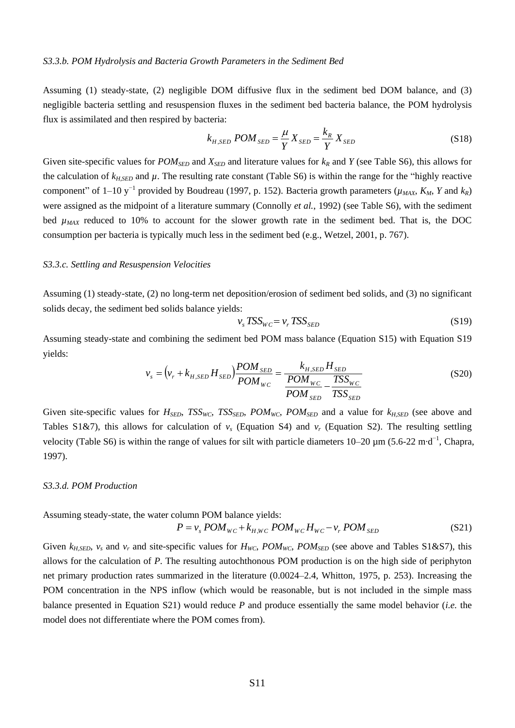Assuming (1) steady-state, (2) negligible DOM diffusive flux in the sediment bed DOM balance, and (3) negligible bacteria settling and resuspension fluxes in the sediment bed bacteria balance, the POM hydrolysis flux is assimilated and then respired by bacteria:

$$
k_{H,SED} POM_{SED} = \frac{\mu}{Y} X_{SED} = \frac{k_R}{Y} X_{SED}
$$
\n(S18)

Given site-specific values for  $POM_{SED}$  and  $X_{SED}$  and literature values for  $k_R$  and  $Y$  (see Table S6), this allows for the calculation of  $k_{H,SED}$  and  $\mu$ . The resulting rate constant (Table S6) is within the range for the "highly reactive component" of 1–10 y<sup>-1</sup> provided by Boudreau (1997, p. 152). Bacteria growth parameters ( $\mu_{MAX}$ ,  $K_M$ ,  $Y$  and  $k_R$ ) were assigned as the midpoint of a literature summary (Connolly *et al.*, 1992) (see Table S6), with the sediment bed  $\mu_{MAX}$  reduced to 10% to account for the slower growth rate in the sediment bed. That is, the DOC consumption per bacteria is typically much less in the sediment bed (e.g., Wetzel, 2001, p. 767).

#### *S3.3.c. Settling and Resuspension Velocities*

Assuming (1) steady-state, (2) no long-term net deposition/erosion of sediment bed solids, and (3) no significant solids decay, the sediment bed solids balance yields:

$$
v_s \, TSS_{WC} = v_r \, TSS_{SED} \tag{S19}
$$

Assuming steady-state and combining the sediment bed POM mass balance (Equation S15) with Equation S19 yields:

$$
v_{s} = (v_{r} + k_{H,SED} H_{SED}) \frac{POM_{SED}}{POM_{WC}} = \frac{k_{H,SED} H_{SED}}{\frac{POM_{WC}}{POM_{SED}} - \frac{TSS_{WC}}{TSS_{SED}}}
$$
(S20)

Given site-specific values for  $H_{SED}$ ,  $TSS_{WC}$ ,  $TSS_{SED}$ ,  $POM_{WC}$ ,  $POM_{SED}$  and a value for  $k_{H,SED}$  (see above and Tables S1&7), this allows for calculation of  $v_s$  (Equation S4) and  $v_r$  (Equation S2). The resulting settling velocity (Table S6) is within the range of values for silt with particle diameters  $10-20 \mu m (5.6-22 m d^{-1})$ , Chapra, 1997).

#### *S3.3.d. POM Production*

Assuming steady-state, the water column POM balance yields:

$$
P = v_s POM_{WC} + k_{H,WC} POM_{WC} H_{WC} - v_r POM_{SED}
$$
\n
$$
(S21)
$$

Given  $k_{H,SED}$ ,  $v_s$  and  $v_r$  and site-specific values for  $H_{WC}$ ,  $POM_{WC}$ ,  $POM_{SED}$  (see above and Tables S1&S7), this allows for the calculation of *P*. The resulting autochthonous POM production is on the high side of periphyton net primary production rates summarized in the literature (0.0024–2.4, Whitton, 1975, p. 253). Increasing the POM concentration in the NPS inflow (which would be reasonable, but is not included in the simple mass balance presented in Equation S21) would reduce *P* and produce essentially the same model behavior (*i.e.* the model does not differentiate where the POM comes from).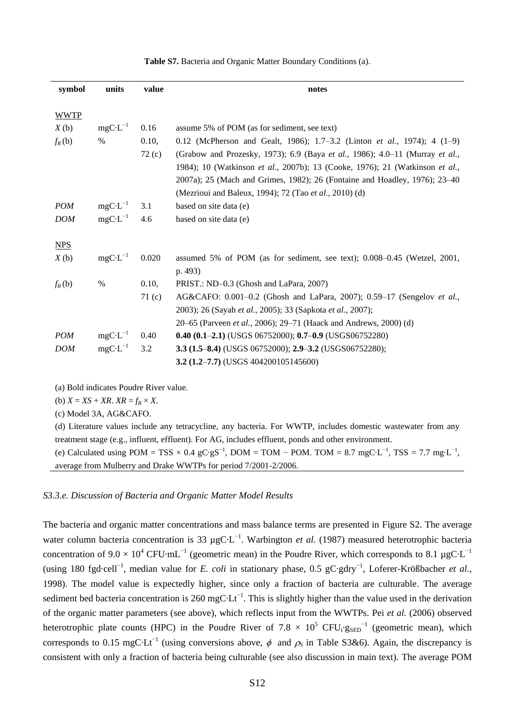| symbol      | units        | value             | notes                                                                            |
|-------------|--------------|-------------------|----------------------------------------------------------------------------------|
|             |              |                   |                                                                                  |
| <b>WWTP</b> |              |                   |                                                                                  |
| X(b)        | $mgC L^{-1}$ | 0.16              | assume 5% of POM (as for sediment, see text)                                     |
| $f_R(b)$    | $\%$         | 0.10,             | 0.12 (McPherson and Gealt, 1986); 1.7–3.2 (Linton <i>et al.</i> , 1974); 4 (1–9) |
|             |              | 72(c)             | (Grabow and Prozesky, 1973); 6.9 (Baya et al., 1986); 4.0-11 (Murray et al.,     |
|             |              |                   | 1984); 10 (Watkinson et al., 2007b); 13 (Cooke, 1976); 21 (Watkinson et al.,     |
|             |              |                   | 2007a); 25 (Mach and Grimes, 1982); 26 (Fontaine and Hoadley, 1976); 23–40       |
|             |              |                   | (Mezrioui and Baleux, 1994); 72 (Tao et al., 2010) (d)                           |
| <b>POM</b>  | $mgC L^{-1}$ | 3.1               | based on site data (e)                                                           |
| <b>DOM</b>  | $mgC L^{-1}$ | 4.6               | based on site data (e)                                                           |
|             |              |                   |                                                                                  |
| NPS         |              |                   |                                                                                  |
| X(b)        | $mgC L^{-1}$ | 0.020             | assumed 5% of POM (as for sediment, see text); 0.008-0.45 (Wetzel, 2001,         |
|             |              |                   | p. 493)                                                                          |
| $f_R(b)$    | %            | 0.10,             | PRIST.: ND-0.3 (Ghosh and LaPara, 2007)                                          |
|             |              | 71 <sub>(c)</sub> | AG&CAFO: 0.001-0.2 (Ghosh and LaPara, 2007); 0.59-17 (Sengelov et al.,           |
|             |              |                   | 2003); 26 (Sayah et al., 2005); 33 (Sapkota et al., 2007);                       |
|             |              |                   | 20-65 (Parveen et al., 2006); 29-71 (Haack and Andrews, 2000) (d)                |
| <b>POM</b>  | $mgC L^{-1}$ | 0.40              | $0.40$ $(0.1-2.1)$ (USGS 06752000); $0.7-0.9$ (USGS06752280)                     |
| <b>DOM</b>  | $mgC L^{-1}$ | 3.2               | 3.3 (1.5-8.4) (USGS 06752000); 2.9-3.2 (USGS06752280);                           |
|             |              |                   | 3.2 (1.2–7.7) (USGS 404200105145600)                                             |

**Table S7.** Bacteria and Organic Matter Boundary Conditions (a).

(a) Bold indicates Poudre River value.

(b)  $X = XS + XR$ .  $XR = f_R \times X$ .

(c) Model 3A, AG&CAFO.

(d) Literature values include any tetracycline, any bacteria. For WWTP, includes domestic wastewater from any treatment stage (e.g., influent, effluent). For AG, includes effluent, ponds and other environment.

(e) Calculated using POM = TSS  $\times 0.4$  gC gS<sup>-1</sup>, DOM = TOM – POM. TOM = 8.7 mgC L<sup>-1</sup>, TSS = 7.7 mg L<sup>-1</sup>, average from Mulberry and Drake WWTPs for period 7/2001-2/2006.

### *S3.3.e. Discussion of Bacteria and Organic Matter Model Results*

The bacteria and organic matter concentrations and mass balance terms are presented in Figure S2. The average water column bacteria concentration is 33  $\mu$ gC L<sup>-1</sup>. Warbington *et al.* (1987) measured heterotrophic bacteria concentration of 9.0  $\times$  10<sup>4</sup> CFU mL<sup>-1</sup> (geometric mean) in the Poudre River, which corresponds to 8.1 µgC L<sup>-1</sup> (using 180 fgd·cell−1 , median value for *E. coli* in stationary phase, 0.5 gC·gdry−1 , Loferer-Krößbacher *et al.*, 1998). The model value is expectedly higher, since only a fraction of bacteria are culturable. The average sediment bed bacteria concentration is 260 mgC  $Lt^{-1}$ . This is slightly higher than the value used in the derivation of the organic matter parameters (see above), which reflects input from the WWTPs. Pei *et al.* (2006) observed heterotrophic plate counts (HPC) in the Poudre River of 7.8  $\times$  10<sup>5</sup> CFU<sub>t</sub>  $g_{\text{SED}}^{-1}$  (geometric mean), which corresponds to 0.15 mgC Lt<sup>-1</sup> (using conversions above,  $\phi$  and  $\rho_s$  in Table S3&6). Again, the discrepancy is consistent with only a fraction of bacteria being culturable (see also discussion in main text). The average POM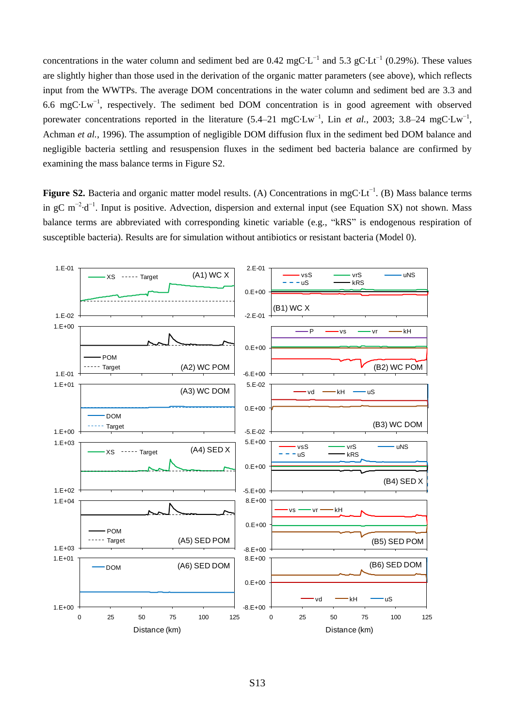concentrations in the water column and sediment bed are 0.42 mgC L<sup>-1</sup> and 5.3 gC Lt<sup>-1</sup> (0.29%). These values are slightly higher than those used in the derivation of the organic matter parameters (see above), which reflects input from the WWTPs. The average DOM concentrations in the water column and sediment bed are 3.3 and 6.6 mgC  $Lw^{-1}$ , respectively. The sediment bed DOM concentration is in good agreement with observed porewater concentrations reported in the literature  $(5.4-21 \text{ mgC Lw}^{-1}$ , Lin *et al.*, 2003; 3.8–24 mgC $Lw^{-1}$ , Achman *et al.*, 1996). The assumption of negligible DOM diffusion flux in the sediment bed DOM balance and negligible bacteria settling and resuspension fluxes in the sediment bed bacteria balance are confirmed by examining the mass balance terms in Figure S2.

**Figure S2.** Bacteria and organic matter model results. (A) Concentrations in mgC Lt<sup>-1</sup>. (B) Mass balance terms in gC m<sup>-2</sup> d<sup>-1</sup>. Input is positive. Advection, dispersion and external input (see Equation SX) not shown. Mass balance terms are abbreviated with corresponding kinetic variable (e.g., "kRS" is endogenous respiration of

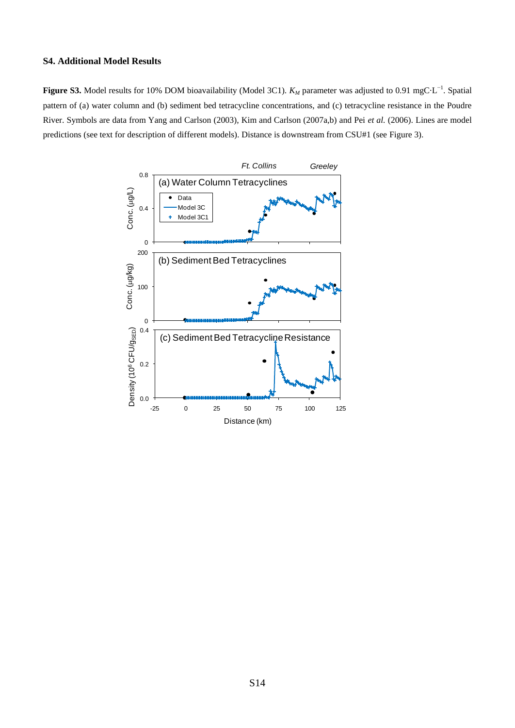## **S4. Additional Model Results**

**Figure S3.** Model results for 10% DOM bioavailability (Model 3C1).  $K_M$  parameter was adjusted to 0.91 mgC L<sup>-1</sup>. Spatial pattern of (a) water column and (b) sediment bed tetracycline concentrations, and (c) tetracycline resistance in the Poudre River. Symbols are data from Yang and Carlson (2003), Kim and Carlson (2007a,b) and Pei *et al.* (2006). Lines are model predictions (see text for description of different models). Distance is downstream from CSU#1 (see Figure 3).

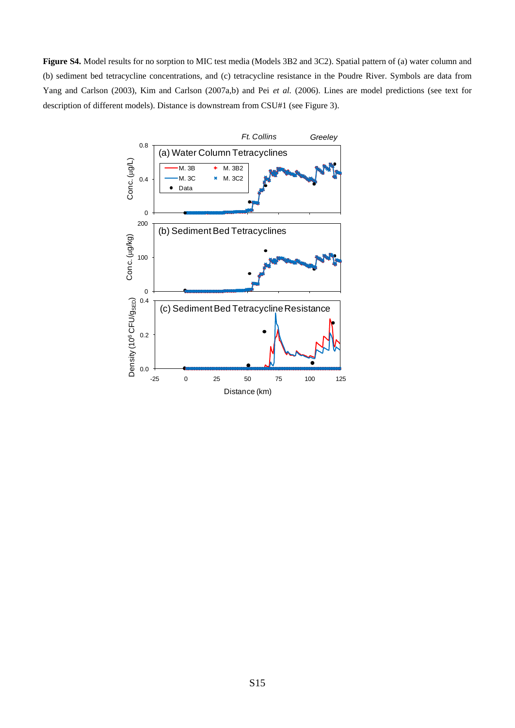**Figure S4.** Model results for no sorption to MIC test media (Models 3B2 and 3C2). Spatial pattern of (a) water column and (b) sediment bed tetracycline concentrations, and (c) tetracycline resistance in the Poudre River. Symbols are data from Yang and Carlson (2003), Kim and Carlson (2007a,b) and Pei *et al.* (2006). Lines are model predictions (see text for description of different models). Distance is downstream from CSU#1 (see Figure 3).

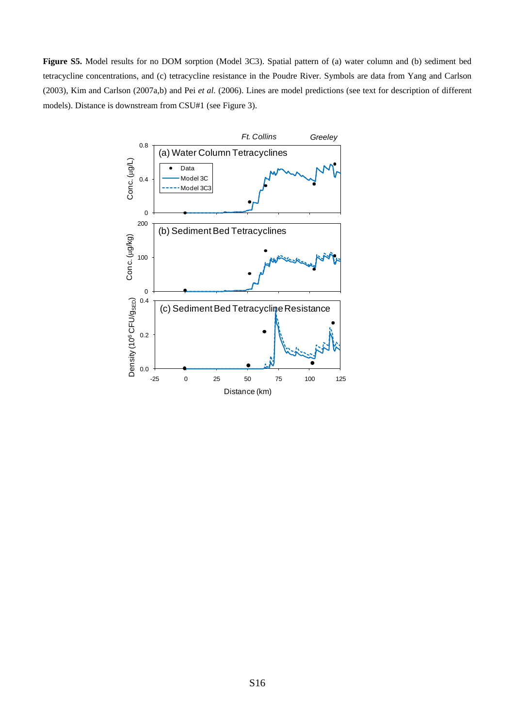**Figure S5.** Model results for no DOM sorption (Model 3C3). Spatial pattern of (a) water column and (b) sediment bed tetracycline concentrations, and (c) tetracycline resistance in the Poudre River. Symbols are data from Yang and Carlson (2003), Kim and Carlson (2007a,b) and Pei *et al.* (2006). Lines are model predictions (see text for description of different models). Distance is downstream from CSU#1 (see Figure 3).

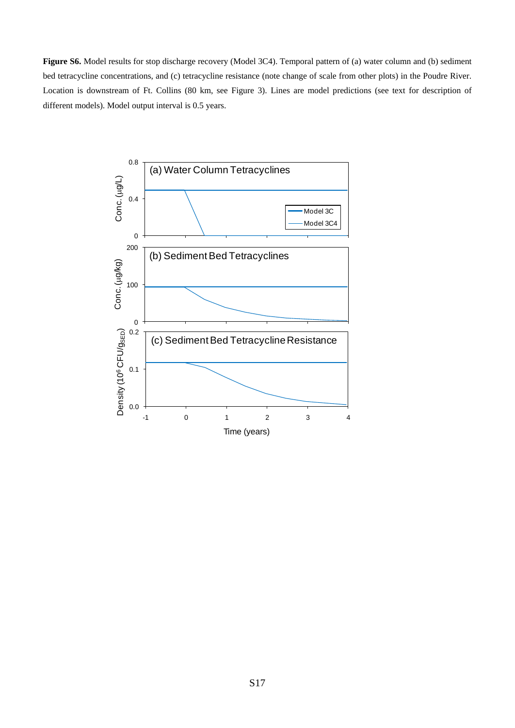**Figure S6.** Model results for stop discharge recovery (Model 3C4). Temporal pattern of (a) water column and (b) sediment bed tetracycline concentrations, and (c) tetracycline resistance (note change of scale from other plots) in the Poudre River. Location is downstream of Ft. Collins (80 km, see Figure 3). Lines are model predictions (see text for description of different models). Model output interval is 0.5 years.

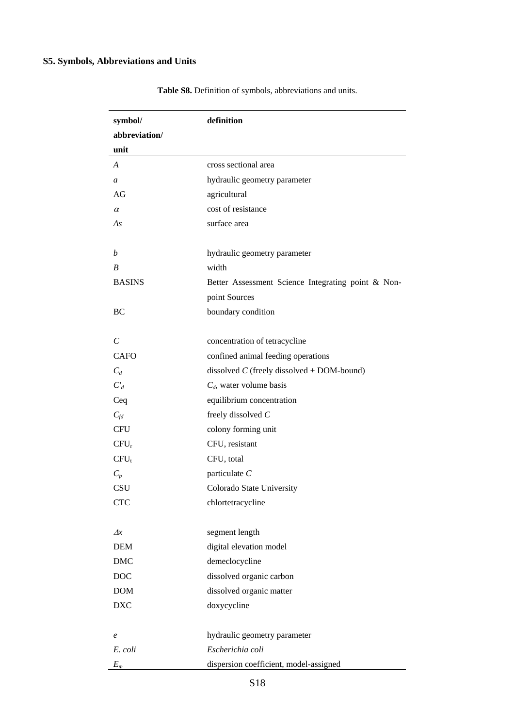| symbol/       | definition                                         |
|---------------|----------------------------------------------------|
| abbreviation/ |                                                    |
| unit          |                                                    |
| A             | cross sectional area                               |
| a             | hydraulic geometry parameter                       |
| AG            | agricultural                                       |
| $\alpha$      | cost of resistance                                 |
| As            | surface area                                       |
|               |                                                    |
| b             | hydraulic geometry parameter                       |
| B             | width                                              |
| <b>BASINS</b> | Better Assessment Science Integrating point & Non- |
|               | point Sources                                      |
| BC            | boundary condition                                 |
|               |                                                    |
| C             | concentration of tetracycline                      |
| CAFO          | confined animal feeding operations                 |
| $C_d$         | dissolved $C$ (freely dissolved + DOM-bound)       |
| $C_d$         | $C_d$ , water volume basis                         |
| Ceq           | equilibrium concentration                          |
| $C_{fd}$      | freely dissolved $C$                               |
| <b>CFU</b>    | colony forming unit                                |
| $CFU_r$       | CFU, resistant                                     |
| $CFU_t$       | CFU, total                                         |
| $C_n$         | particulate $C$                                    |
| CSU           | Colorado State University                          |
| <b>CTC</b>    | chlortetracycline                                  |
|               |                                                    |
| $\varDelta x$ | segment length                                     |
| <b>DEM</b>    | digital elevation model                            |
| <b>DMC</b>    | demeclocycline                                     |
| <b>DOC</b>    | dissolved organic carbon                           |
| <b>DOM</b>    | dissolved organic matter                           |
| <b>DXC</b>    | doxycycline                                        |
|               |                                                    |
| e             | hydraulic geometry parameter                       |
| E. coli       | Escherichia coli                                   |
| $E_m$         | dispersion coefficient, model-assigned             |

**Table S8.** Definition of symbols, abbreviations and units.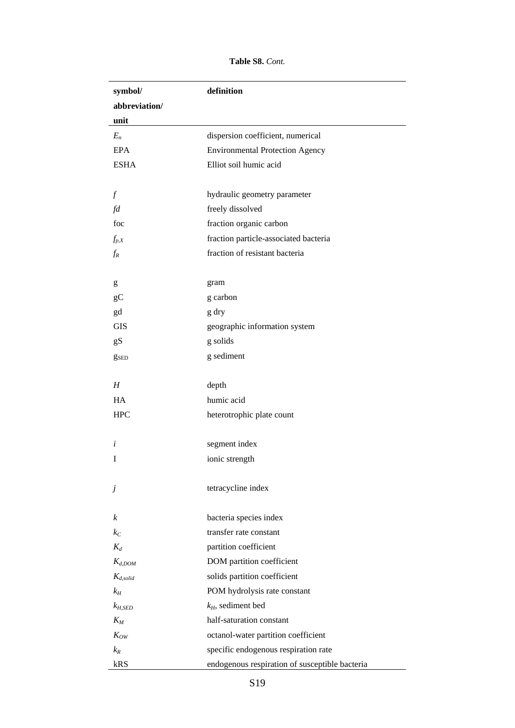**Table S8.** *Cont.*

| symbol/                 | definition                                     |
|-------------------------|------------------------------------------------|
| abbreviation/           |                                                |
| unit                    |                                                |
| $E_n$                   | dispersion coefficient, numerical              |
| <b>EPA</b>              | <b>Environmental Protection Agency</b>         |
| <b>ESHA</b>             | Elliot soil humic acid                         |
|                         |                                                |
| $\int$                  | hydraulic geometry parameter                   |
| fd                      | freely dissolved                               |
| foc                     | fraction organic carbon                        |
| $f_{p,X}$               | fraction particle-associated bacteria          |
| $f_R$                   | fraction of resistant bacteria                 |
|                         |                                                |
| g                       | gram                                           |
| $\rm g C$               | g carbon                                       |
| gd                      | g dry                                          |
| <b>GIS</b>              | geographic information system                  |
| gS                      | g solids                                       |
| <b>g</b> <sub>sed</sub> | g sediment                                     |
|                         |                                                |
| H                       | depth                                          |
| HA                      | humic acid                                     |
| <b>HPC</b>              | heterotrophic plate count                      |
|                         |                                                |
| i                       | segment index                                  |
| I                       | ionic strength                                 |
|                         |                                                |
| Ĵ                       | tetracycline index                             |
|                         |                                                |
| k                       | bacteria species index                         |
| $k_C$                   | transfer rate constant                         |
| $K_d$                   | partition coefficient                          |
| $K_{d,DOM}$             | DOM partition coefficient                      |
| $K_{d, solid}$          | solids partition coefficient                   |
| $k_H$                   | POM hydrolysis rate constant                   |
| $k_{H,SED}$             | $k_H$ , sediment bed                           |
| $K_M$                   | half-saturation constant                       |
| $K_{OW}$                | octanol-water partition coefficient            |
| $k_R$                   | specific endogenous respiration rate           |
| kRS                     | endogenous respiration of susceptible bacteria |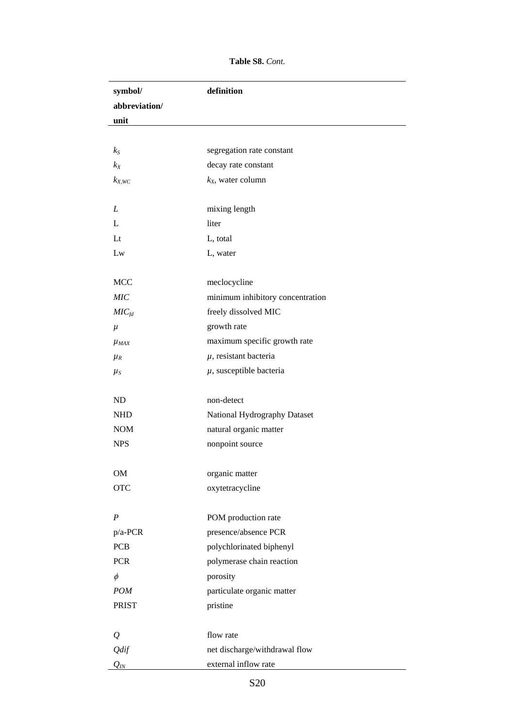**Table S8.** *Cont.*

| symbol/              | definition                       |
|----------------------|----------------------------------|
| abbreviation/        |                                  |
| unit                 |                                  |
|                      |                                  |
| $k_{S}$              | segregation rate constant        |
| $k_X$                | decay rate constant              |
| $k_{X,WC}$           | $k_X$ , water column             |
|                      |                                  |
| L                    | mixing length                    |
| $\mathbf{L}$         | liter                            |
| $_{\rm Lt}$          | L, total                         |
| Lw                   | L, water                         |
|                      |                                  |
| <b>MCC</b>           | meclocycline                     |
| <b>MIC</b>           | minimum inhibitory concentration |
| MIC <sub>fd</sub>    | freely dissolved MIC             |
| $\mu$                | growth rate                      |
| $\mu$ <sub>MAX</sub> | maximum specific growth rate     |
| $\mu$ <sub>R</sub>   | $\mu$ , resistant bacteria       |
| $\mu_{S}$            | $\mu$ , susceptible bacteria     |
|                      |                                  |
| ND                   | non-detect                       |
| <b>NHD</b>           | National Hydrography Dataset     |
| <b>NOM</b>           | natural organic matter           |
| <b>NPS</b>           | nonpoint source                  |
|                      |                                  |
| OM                   | organic matter                   |
| <b>OTC</b>           | oxytetracycline                  |
|                      |                                  |
| $\boldsymbol{P}$     | POM production rate              |
| $p/a$ -PCR           | presence/absence PCR             |
| <b>PCB</b>           | polychlorinated biphenyl         |
| <b>PCR</b>           | polymerase chain reaction        |
| $\phi$               | porosity                         |
| <b>POM</b>           | particulate organic matter       |
| <b>PRIST</b>         | pristine                         |
|                      |                                  |
| $\varrho$            | flow rate                        |
| Qdif                 | net discharge/withdrawal flow    |
| $Q_{I\!N}$           | external inflow rate             |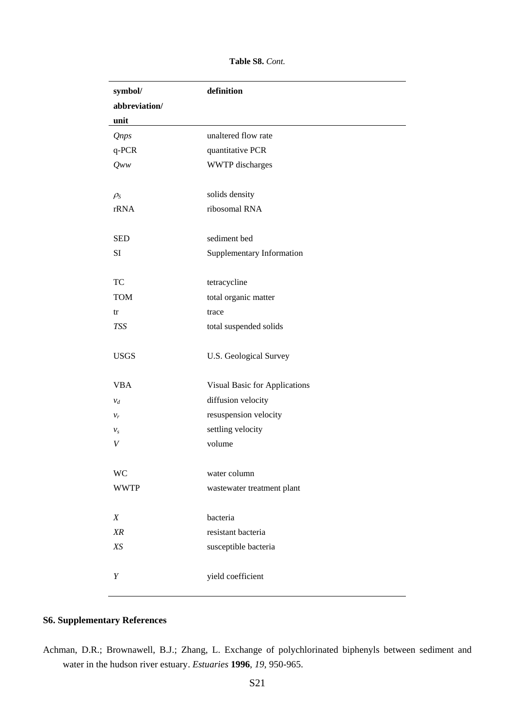**Table S8.** *Cont.*

| symbol/         | definition                    |
|-----------------|-------------------------------|
| abbreviation/   |                               |
| unit            |                               |
| <b>Qnps</b>     | unaltered flow rate           |
| q-PCR           | quantitative PCR              |
| $Q_{WW}$        | <b>WWTP</b> discharges        |
|                 |                               |
| $\rho_{\rm S}$  | solids density                |
| rRNA            | ribosomal RNA                 |
|                 |                               |
| <b>SED</b>      | sediment bed                  |
| SI              | Supplementary Information     |
|                 |                               |
| TC              | tetracycline                  |
| <b>TOM</b>      | total organic matter          |
| tr              | trace                         |
| TSS             | total suspended solids        |
|                 |                               |
| <b>USGS</b>     | <b>U.S. Geological Survey</b> |
|                 |                               |
| <b>VBA</b>      | Visual Basic for Applications |
| $\mathcal{V}_d$ | diffusion velocity            |
| $v_r$           | resuspension velocity         |
| $v_s$           | settling velocity             |
| V               | volume                        |
|                 |                               |
| <b>WC</b>       | water column                  |
| <b>WWTP</b>     | wastewater treatment plant    |
|                 |                               |
| X               | bacteria                      |
| XR              | resistant bacteria            |
| $X\!S$          | susceptible bacteria          |
|                 |                               |
| Y               | yield coefficient             |
|                 |                               |

## **S6. Supplementary References**

Achman, D.R.; Brownawell, B.J.; Zhang, L. Exchange of polychlorinated biphenyls between sediment and water in the hudson river estuary. *Estuaries* **1996**, *19*, 950-965.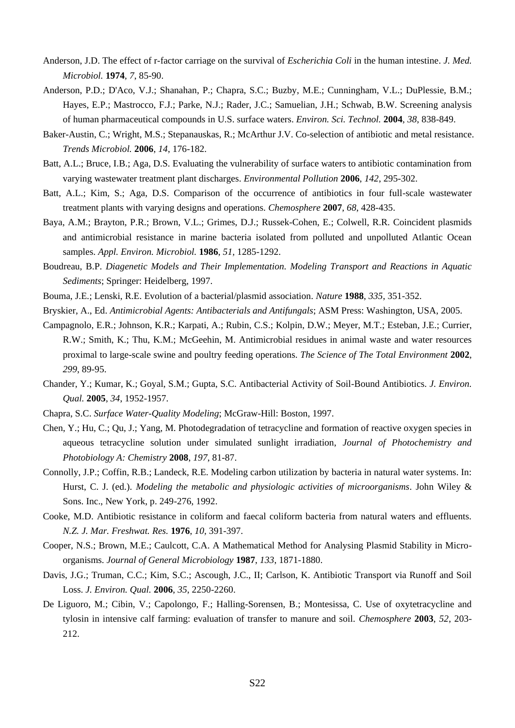- Anderson, J.D. The effect of r-factor carriage on the survival of *Escherichia Coli* in the human intestine. *J. Med. Microbiol.* **1974**, *7*, 85-90.
- Anderson, P.D.; D'Aco, V.J.; Shanahan, P.; Chapra, S.C.; Buzby, M.E.; Cunningham, V.L.; DuPlessie, B.M.; Hayes, E.P.; Mastrocco, F.J.; Parke, N.J.; Rader, J.C.; Samuelian, J.H.; Schwab, B.W. Screening analysis of human pharmaceutical compounds in U.S. surface waters. *Environ. Sci. Technol.* **2004**, *38*, 838-849.
- Baker-Austin, C.; Wright, M.S.; Stepanauskas, R.; McArthur J.V. Co-selection of antibiotic and metal resistance. *Trends Microbiol.* **2006**, *14*, 176-182.
- Batt, A.L.; Bruce, I.B.; Aga, D.S. Evaluating the vulnerability of surface waters to antibiotic contamination from varying wastewater treatment plant discharges. *Environmental Pollution* **2006**, *142*, 295-302.
- Batt, A.L.; Kim, S.; Aga, D.S. Comparison of the occurrence of antibiotics in four full-scale wastewater treatment plants with varying designs and operations. *Chemosphere* **2007**, *68*, 428-435.
- Baya, A.M.; Brayton, P.R.; Brown, V.L.; Grimes, D.J.; Russek-Cohen, E.; Colwell, R.R. Coincident plasmids and antimicrobial resistance in marine bacteria isolated from polluted and unpolluted Atlantic Ocean samples. *Appl. Environ. Microbiol.* **1986**, *51,* 1285-1292.
- Boudreau, B.P. *Diagenetic Models and Their Implementation. Modeling Transport and Reactions in Aquatic Sediments*; Springer: Heidelberg, 1997.
- Bouma, J.E.; Lenski, R.E. Evolution of a bacterial/plasmid association. *Nature* **1988**, *335*, 351-352.
- Bryskier, A., Ed. *Antimicrobial Agents: Antibacterials and Antifungals*; ASM Press: Washington, USA, 2005.
- Campagnolo, E.R.; Johnson, K.R.; Karpati, A.; Rubin, C.S.; Kolpin, D.W.; Meyer, M.T.; Esteban, J.E.; Currier, R.W.; Smith, K.; Thu, K.M.; McGeehin, M. Antimicrobial residues in animal waste and water resources proximal to large-scale swine and poultry feeding operations. *The Science of The Total Environment* **2002**, *299*, 89-95.
- Chander, Y.; Kumar, K.; Goyal, S.M.; Gupta, S.C. Antibacterial Activity of Soil-Bound Antibiotics. *J. Environ. Qual.* **2005**, *34*, 1952-1957.
- Chapra, S.C. *Surface Water-Quality Modeling*; McGraw-Hill: Boston, 1997.
- Chen, Y.; Hu, C.; Qu, J.; Yang, M. Photodegradation of tetracycline and formation of reactive oxygen species in aqueous tetracycline solution under simulated sunlight irradiation, *Journal of Photochemistry and Photobiology A: Chemistry* **2008**, *197*, 81-87.
- Connolly, J.P.; Coffin, R.B.; Landeck, R.E. Modeling carbon utilization by bacteria in natural water systems. In: Hurst, C. J. (ed.). *Modeling the metabolic and physiologic activities of microorganisms*. John Wiley & Sons. Inc., New York, p. 249-276, 1992.
- Cooke, M.D. Antibiotic resistance in coliform and faecal coliform bacteria from natural waters and effluents. *N.Z. J. Mar. Freshwat. Res.* **1976**, *10,* 391-397.
- Cooper, N.S.; Brown, M.E.; Caulcott, C.A. A Mathematical Method for Analysing Plasmid Stability in Microorganisms. *Journal of General Microbiology* **1987**, *133*, 1871-1880.
- Davis, J.G.; Truman, C.C.; Kim, S.C.; Ascough, J.C., II; Carlson, K. Antibiotic Transport via Runoff and Soil Loss. *J. Environ. Qual.* **2006**, *35*, 2250-2260.
- De Liguoro, M.; Cibin, V.; Capolongo, F.; Halling-Sorensen, B.; Montesissa, C. Use of oxytetracycline and tylosin in intensive calf farming: evaluation of transfer to manure and soil. *Chemosphere* **2003**, *52*, 203- 212.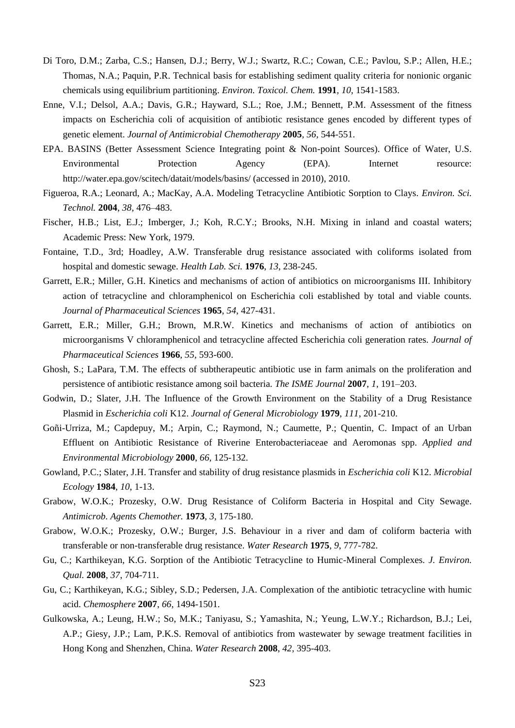- Di Toro, D.M.; Zarba, C.S.; Hansen, D.J.; Berry, W.J.; Swartz, R.C.; Cowan, C.E.; Pavlou, S.P.; Allen, H.E.; Thomas, N.A.; Paquin, P.R. Technical basis for establishing sediment quality criteria for nonionic organic chemicals using equilibrium partitioning. *Environ. Toxicol. Chem.* **1991**, *10,* 1541-1583.
- Enne, V.I.; Delsol, A.A.; Davis, G.R.; Hayward, S.L.; Roe, J.M.; Bennett, P.M. Assessment of the fitness impacts on Escherichia coli of acquisition of antibiotic resistance genes encoded by different types of genetic element. *Journal of Antimicrobial Chemotherapy* **2005**, *56,* 544-551.
- EPA. BASINS (Better Assessment Science Integrating point & Non-point Sources). Office of Water, U.S. Environmental Protection Agency (EPA). Internet resource: http://water.epa.gov/scitech/datait/models/basins/ (accessed in 2010), 2010.
- Figueroa, R.A.; Leonard, A.; MacKay, A.A. Modeling Tetracycline Antibiotic Sorption to Clays. *Environ. Sci. Technol.* **2004**, *38*, 476–483.
- Fischer, H.B.; List, E.J.; Imberger, J.; Koh, R.C.Y.; Brooks, N.H. Mixing in inland and coastal waters; Academic Press: New York, 1979.
- Fontaine, T.D., 3rd; Hoadley, A.W. Transferable drug resistance associated with coliforms isolated from hospital and domestic sewage. *Health Lab. Sci.* **1976**, *13*, 238-245.
- Garrett, E.R.; Miller, G.H. Kinetics and mechanisms of action of antibiotics on microorganisms III. Inhibitory action of tetracycline and chloramphenicol on Escherichia coli established by total and viable counts. *Journal of Pharmaceutical Sciences* **1965**, *54,* 427-431.
- Garrett, E.R.; Miller, G.H.; Brown, M.R.W. Kinetics and mechanisms of action of antibiotics on microorganisms V chloramphenicol and tetracycline affected Escherichia coli generation rates. *Journal of Pharmaceutical Sciences* **1966**, *55,* 593-600.
- Ghosh, S.; LaPara, T.M. The effects of subtherapeutic antibiotic use in farm animals on the proliferation and persistence of antibiotic resistance among soil bacteria. *The ISME Journal* **2007**, *1*, 191–203.
- Godwin, D.; Slater, J.H. The Influence of the Growth Environment on the Stability of a Drug Resistance Plasmid in *Escherichia coli* K12. *Journal of General Microbiology* **1979**, *111*, 201-210.
- Goñi-Urriza, M.; Capdepuy, M.; Arpin, C.; Raymond, N.; Caumette, P.; Quentin, C. Impact of an Urban Effluent on Antibiotic Resistance of Riverine Enterobacteriaceae and Aeromonas spp. *Applied and Environmental Microbiology* **2000**, *66,* 125-132.
- Gowland, P.C.; Slater, J.H. Transfer and stability of drug resistance plasmids in *Escherichia coli* K12. *Microbial Ecology* **1984**, *10*, 1-13.
- Grabow, W.O.K.; Prozesky, O.W. Drug Resistance of Coliform Bacteria in Hospital and City Sewage. *Antimicrob. Agents Chemother.* **1973**, *3*, 175-180.
- Grabow, W.O.K.; Prozesky, O.W.; Burger, J.S. Behaviour in a river and dam of coliform bacteria with transferable or non-transferable drug resistance. *Water Research* **1975**, *9*, 777-782.
- Gu, C.; Karthikeyan, K.G. Sorption of the Antibiotic Tetracycline to Humic-Mineral Complexes. *J. Environ. Qual.* **2008**, *37*, 704-711.
- Gu, C.; Karthikeyan, K.G.; Sibley, S.D.; Pedersen, J.A. Complexation of the antibiotic tetracycline with humic acid. *Chemosphere* **2007**, *66*, 1494-1501.
- Gulkowska, A.; Leung, H.W.; So, M.K.; Taniyasu, S.; Yamashita, N.; Yeung, L.W.Y.; Richardson, B.J.; Lei, A.P.; Giesy, J.P.; Lam, P.K.S. Removal of antibiotics from wastewater by sewage treatment facilities in Hong Kong and Shenzhen, China. *Water Research* **2008**, *42*, 395-403.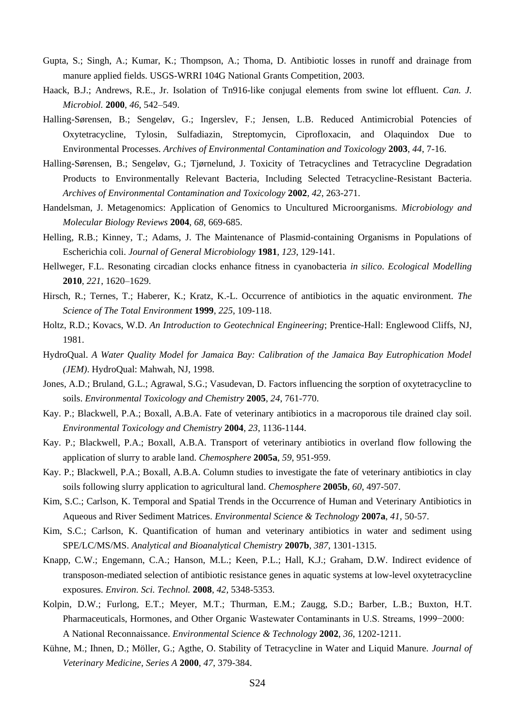- Gupta, S.; Singh, A.; Kumar, K.; Thompson, A.; Thoma, D. Antibiotic losses in runoff and drainage from manure applied fields. USGS-WRRI 104G National Grants Competition, 2003.
- Haack, B.J.; Andrews, R.E., Jr. Isolation of Tn916-like conjugal elements from swine lot effluent. *Can. J. Microbiol.* **2000**, *46*, 542–549.
- Halling-Sørensen, B.; Sengeløv, G.; Ingerslev, F.; Jensen, L.B. Reduced Antimicrobial Potencies of Oxytetracycline, Tylosin, Sulfadiazin, Streptomycin, Ciprofloxacin, and Olaquindox Due to Environmental Processes. *Archives of Environmental Contamination and Toxicology* **2003**, *44*, 7-16.
- Halling-Sørensen, B.; Sengeløv, G.; Tjørnelund, J. Toxicity of Tetracyclines and Tetracycline Degradation Products to Environmentally Relevant Bacteria, Including Selected Tetracycline-Resistant Bacteria. *Archives of Environmental Contamination and Toxicology* **2002**, *42*, 263-271.
- Handelsman, J. Metagenomics: Application of Genomics to Uncultured Microorganisms. *Microbiology and Molecular Biology Reviews* **2004**, *68*, 669-685.
- Helling, R.B.; Kinney, T.; Adams, J. The Maintenance of Plasmid-containing Organisms in Populations of Escherichia coli. *Journal of General Microbiology* **1981**, *123*, 129-141.
- Hellweger, F.L. Resonating circadian clocks enhance fitness in cyanobacteria *in silico*. *Ecological Modelling* **2010**, *221*, 1620–1629.
- Hirsch, R.; Ternes, T.; Haberer, K.; Kratz, K.-L. Occurrence of antibiotics in the aquatic environment. *The Science of The Total Environment* **1999**, *225*, 109-118.
- Holtz, R.D.; Kovacs, W.D. *An Introduction to Geotechnical Engineering*; Prentice-Hall: Englewood Cliffs, NJ, 1981.
- HydroQual. *A Water Quality Model for Jamaica Bay: Calibration of the Jamaica Bay Eutrophication Model (JEM)*. HydroQual: Mahwah, NJ, 1998.
- Jones, A.D.; Bruland, G.L.; Agrawal, S.G.; Vasudevan, D. Factors influencing the sorption of oxytetracycline to soils. *Environmental Toxicology and Chemistry* **2005**, *24*, 761-770.
- Kay. P.; Blackwell, P.A.; Boxall, A.B.A. Fate of veterinary antibiotics in a macroporous tile drained clay soil. *Environmental Toxicology and Chemistry* **2004**, *23*, 1136-1144.
- Kay. P.; Blackwell, P.A.; Boxall, A.B.A. Transport of veterinary antibiotics in overland flow following the application of slurry to arable land. *Chemosphere* **2005a**, *59*, 951-959.
- Kay. P.; Blackwell, P.A.; Boxall, A.B.A. Column studies to investigate the fate of veterinary antibiotics in clay soils following slurry application to agricultural land. *Chemosphere* **2005b**, *60*, 497-507.
- Kim, S.C.; Carlson, K. Temporal and Spatial Trends in the Occurrence of Human and Veterinary Antibiotics in Aqueous and River Sediment Matrices. *Environmental Science & Technology* **2007a**, *41,* 50-57.
- Kim, S.C.; Carlson, K. Quantification of human and veterinary antibiotics in water and sediment using SPE/LC/MS/MS. *Analytical and Bioanalytical Chemistry* **2007b**, *387*, 1301-1315.
- Knapp, C.W.; Engemann, C.A.; Hanson, M.L.; Keen, P.L.; Hall, K.J.; Graham, D.W. Indirect evidence of transposon-mediated selection of antibiotic resistance genes in aquatic systems at low-level oxytetracycline exposures. *Environ. Sci. Technol.* **2008**, *42,* 5348-5353.
- Kolpin, D.W.; Furlong, E.T.; Meyer, M.T.; Thurman, E.M.; Zaugg, S.D.; Barber, L.B.; Buxton, H.T. Pharmaceuticals, Hormones, and Other Organic Wastewater Contaminants in U.S. Streams, 1999−2000: A National Reconnaissance. *Environmental Science & Technology* **2002**, *36*, 1202-1211.
- Kühne, M.; Ihnen, D.; Möller, G.; Agthe, O. Stability of Tetracycline in Water and Liquid Manure. *Journal of Veterinary Medicine, Series A* **2000**, *47*, 379-384.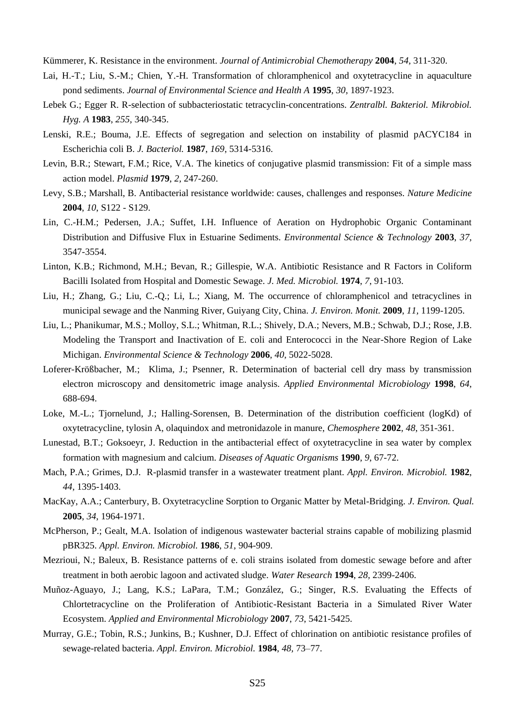Kümmerer, K. Resistance in the environment. *Journal of Antimicrobial Chemotherapy* **2004**, *54,* 311-320.

- Lai, H.-T.; Liu, S.-M.; Chien, Y.-H. Transformation of chloramphenicol and oxytetracycline in aquaculture pond sediments. *Journal of Environmental Science and Health A* **1995**, *30,* 1897-1923.
- Lebek G.; Egger R. R-selection of subbacteriostatic tetracyclin-concentrations. *Zentralbl. Bakteriol. Mikrobiol. Hyg. A* **1983**, *255,* 340-345.
- Lenski, R.E.; Bouma, J.E. Effects of segregation and selection on instability of plasmid pACYC184 in Escherichia coli B. *J. Bacteriol.* **1987**, *169*, 5314-5316.
- Levin, B.R.; Stewart, F.M.; Rice, V.A. The kinetics of conjugative plasmid transmission: Fit of a simple mass action model. *Plasmid* **1979**, *2,* 247-260.
- Levy, S.B.; Marshall, B. Antibacterial resistance worldwide: causes, challenges and responses. *Nature Medicine* **2004**, *10*, S122 - S129.
- Lin, C.-H.M.; Pedersen, J.A.; Suffet, I.H. Influence of Aeration on Hydrophobic Organic Contaminant Distribution and Diffusive Flux in Estuarine Sediments. *Environmental Science & Technology* **2003**, *37*, 3547-3554.
- Linton, K.B.; Richmond, M.H.; Bevan, R.; Gillespie, W.A. Antibiotic Resistance and R Factors in Coliform Bacilli Isolated from Hospital and Domestic Sewage. *J. Med. Microbiol.* **1974**, *7*, 91-103.
- Liu, H.; Zhang, G.; Liu, C.-Q.; Li, L.; Xiang, M. The occurrence of chloramphenicol and tetracyclines in municipal sewage and the Nanming River, Guiyang City, China. *J. Environ. Monit.* **2009**, *11,* 1199-1205.
- Liu, L.; Phanikumar, M.S.; Molloy, S.L.; Whitman, R.L.; Shively, D.A.; Nevers, M.B.; Schwab, D.J.; Rose, J.B. Modeling the Transport and Inactivation of E. coli and Enterococci in the Near-Shore Region of Lake Michigan. *Environmental Science & Technology* **2006**, *40,* 5022-5028.
- Loferer-Krößbacher, M.; Klima, J.; Psenner, R. Determination of bacterial cell dry mass by transmission electron microscopy and densitometric image analysis. *Applied Environmental Microbiology* **1998**, *64*, 688-694.
- Loke, M.-L.; Tjornelund, J.; Halling-Sorensen, B. Determination of the distribution coefficient (logKd) of oxytetracycline, tylosin A, olaquindox and metronidazole in manure, *Chemosphere* **2002**, *48*, 351-361.
- Lunestad, B.T.; Goksoeyr, J. Reduction in the antibacterial effect of oxytetracycline in sea water by complex formation with magnesium and calcium. *Diseases of Aquatic Organisms* **1990**, *9*, 67-72.
- Mach, P.A.; Grimes, D.J. R-plasmid transfer in a wastewater treatment plant. *Appl. Environ. Microbiol.* **1982**, *44,* 1395-1403.
- MacKay, A.A.; Canterbury, B. Oxytetracycline Sorption to Organic Matter by Metal-Bridging. *J. Environ. Qual.* **2005**, *34*, 1964-1971.
- McPherson, P.; Gealt, M.A. Isolation of indigenous wastewater bacterial strains capable of mobilizing plasmid pBR325. *Appl. Environ. Microbiol.* **1986**, *51,* 904-909.
- Mezrioui, N.; Baleux, B. Resistance patterns of e. coli strains isolated from domestic sewage before and after treatment in both aerobic lagoon and activated sludge. *Water Research* **1994**, *28,* 2399-2406.
- Muñoz-Aguayo, J.; Lang, K.S.; LaPara, T.M.; González, G.; Singer, R.S. Evaluating the Effects of Chlortetracycline on the Proliferation of Antibiotic-Resistant Bacteria in a Simulated River Water Ecosystem. *Applied and Environmental Microbiology* **2007**, *73*, 5421-5425.
- Murray, G.E.; Tobin, R.S.; Junkins, B.; Kushner, D.J. Effect of chlorination on antibiotic resistance profiles of sewage-related bacteria. *Appl. Environ. Microbiol.* **1984**, *48,* 73–77.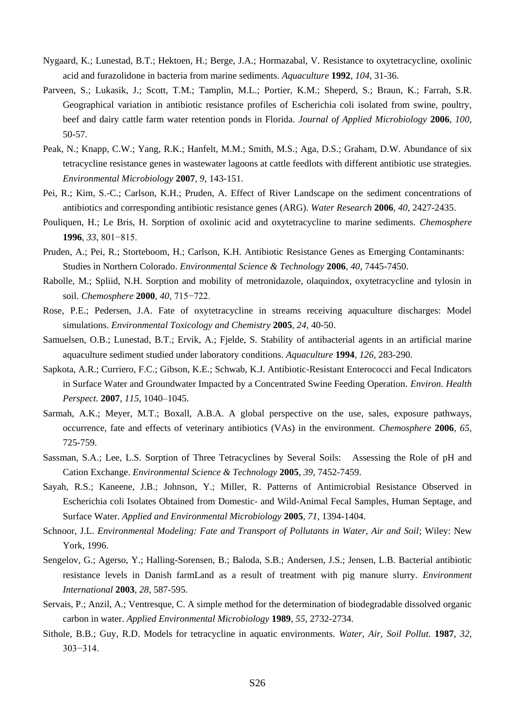- Nygaard, K.; Lunestad, B.T.; Hektoen, H.; Berge, J.A.; Hormazabal, V. Resistance to oxytetracycline, oxolinic acid and furazolidone in bacteria from marine sediments. *Aquaculture* **1992**, *104*, 31-36.
- Parveen, S.; Lukasik, J.; Scott, T.M.; Tamplin, M.L.; Portier, K.M.; Sheperd, S.; Braun, K.; Farrah, S.R. Geographical variation in antibiotic resistance profiles of Escherichia coli isolated from swine, poultry, beef and dairy cattle farm water retention ponds in Florida. *Journal of Applied Microbiology* **2006**, *100*, 50-57.
- Peak, N.; Knapp, C.W.; Yang, R.K.; Hanfelt, M.M.; Smith, M.S.; Aga, D.S.; Graham, D.W. Abundance of six tetracycline resistance genes in wastewater lagoons at cattle feedlots with different antibiotic use strategies. *Environmental Microbiology* **2007**, *9,* 143-151.
- Pei, R.; Kim, S.-C.; Carlson, K.H.; Pruden, A. Effect of River Landscape on the sediment concentrations of antibiotics and corresponding antibiotic resistance genes (ARG). *Water Research* **2006**, *40*, 2427-2435.
- Pouliquen, H.; Le Bris, H. Sorption of oxolinic acid and oxytetracycline to marine sediments. *Chemosphere* **1996**, *33*, 801−815.
- Pruden, A.; Pei, R.; Storteboom, H.; Carlson, K.H. Antibiotic Resistance Genes as Emerging Contaminants: Studies in Northern Colorado. *Environmental Science & Technology* **2006**, *40*, 7445-7450.
- Rabolle, M.; Spliid, N.H. Sorption and mobility of metronidazole, olaquindox, oxytetracycline and tylosin in soil. *Chemosphere* **2000**, *40*, 715−722.
- Rose, P.E.; Pedersen, J.A. Fate of oxytetracycline in streams receiving aquaculture discharges: Model simulations. *Environmental Toxicology and Chemistry* **2005**, *24*, 40-50.
- Samuelsen, O.B.; Lunestad, B.T.; Ervik, A.; Fjelde, S. Stability of antibacterial agents in an artificial marine aquaculture sediment studied under laboratory conditions. *Aquaculture* **1994**, *126,* 283-290.
- Sapkota, A.R.; Curriero, F.C.; Gibson, K.E.; Schwab, K.J. Antibiotic-Resistant Enterococci and Fecal Indicators in Surface Water and Groundwater Impacted by a Concentrated Swine Feeding Operation. *Environ. Health Perspect.* **2007**, *115*, 1040–1045.
- Sarmah, A.K.; Meyer, M.T.; Boxall, A.B.A. A global perspective on the use, sales, exposure pathways, occurrence, fate and effects of veterinary antibiotics (VAs) in the environment. *Chemosphere* **2006**, *65*, 725-759.
- Sassman, S.A.; Lee, L.S. Sorption of Three Tetracyclines by Several Soils: Assessing the Role of pH and Cation Exchange. *Environmental Science & Technology* **2005**, *39,* 7452-7459.
- Sayah, R.S.; Kaneene, J.B.; Johnson, Y.; Miller, R. Patterns of Antimicrobial Resistance Observed in Escherichia coli Isolates Obtained from Domestic- and Wild-Animal Fecal Samples, Human Septage, and Surface Water. *Applied and Environmental Microbiology* **2005**, *71*, 1394-1404.
- Schnoor, J.L. *Environmental Modeling: Fate and Transport of Pollutants in Water, Air and Soil*; Wiley: New York, 1996.
- Sengelov, G.; Agerso, Y.; Halling-Sorensen, B.; Baloda, S.B.; Andersen, J.S.; Jensen, L.B. Bacterial antibiotic resistance levels in Danish farmLand as a result of treatment with pig manure slurry. *Environment International* **2003**, *28*, 587-595.
- Servais, P.; Anzil, A.; Ventresque, C. A simple method for the determination of biodegradable dissolved organic carbon in water. *Applied Environmental Microbiology* **1989**, *55*, 2732-2734.
- Sithole, B.B.; Guy, R.D. Models for tetracycline in aquatic environments. *Water, Air, Soil Pollut.* **1987**, *32*, 303−314.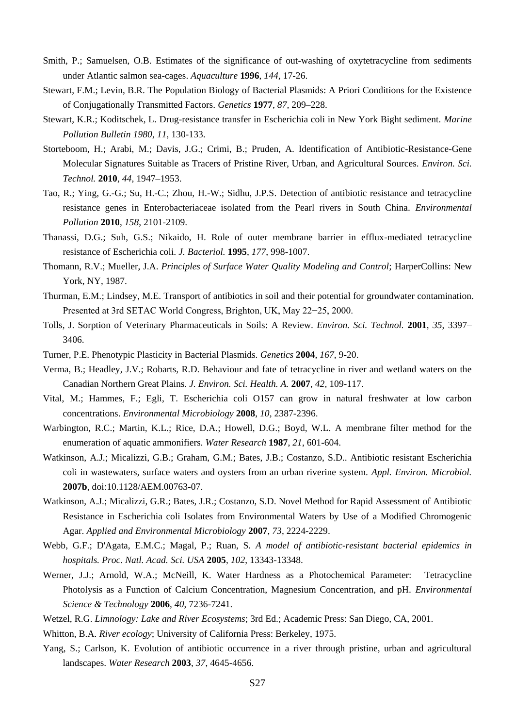- Smith, P.; Samuelsen, O.B. Estimates of the significance of out-washing of oxytetracycline from sediments under Atlantic salmon sea-cages. *Aquaculture* **1996**, *144*, 17-26.
- Stewart, F.M.; Levin, B.R. The Population Biology of Bacterial Plasmids: A Priori Conditions for the Existence of Conjugationally Transmitted Factors. *Genetics* **1977**, *87,* 209–228.
- Stewart, K.R.; Koditschek, L. Drug-resistance transfer in Escherichia coli in New York Bight sediment. *Marine Pollution Bulletin 1980*, *11*, 130-133.
- Storteboom, H.; Arabi, M.; Davis, J.G.; Crimi, B.; Pruden, A. Identification of Antibiotic-Resistance-Gene Molecular Signatures Suitable as Tracers of Pristine River, Urban, and Agricultural Sources. *Environ. Sci. Technol.* **2010**, *44,* 1947–1953.
- Tao, R.; Ying, G.-G.; Su, H.-C.; Zhou, H.-W.; Sidhu, J.P.S. Detection of antibiotic resistance and tetracycline resistance genes in Enterobacteriaceae isolated from the Pearl rivers in South China. *Environmental Pollution* **2010**, *158*, 2101-2109.
- Thanassi, D.G.; Suh, G.S.; Nikaido, H. Role of outer membrane barrier in efflux-mediated tetracycline resistance of Escherichia coli. *J. Bacteriol.* **1995**, *177*, 998-1007.
- Thomann, R.V.; Mueller, J.A. *Principles of Surface Water Quality Modeling and Control*; HarperCollins: New York, NY, 1987.
- Thurman, E.M.; Lindsey, M.E. Transport of antibiotics in soil and their potential for groundwater contamination. Presented at 3rd SETAC World Congress, Brighton, UK, May 22−25, 2000.
- Tolls, J. Sorption of Veterinary Pharmaceuticals in Soils: A Review. *Environ. Sci. Technol.* **2001**, *35*, 3397– 3406.
- Turner, P.E. Phenotypic Plasticity in Bacterial Plasmids. *Genetics* **2004**, *167*, 9-20.
- Verma, B.; Headley, J.V.; Robarts, R.D. Behaviour and fate of tetracycline in river and wetland waters on the Canadian Northern Great Plains. *J. Environ. Sci. Health. A.* **2007**, *42,* 109-117.
- Vital, M.; Hammes, F.; Egli, T. Escherichia coli O157 can grow in natural freshwater at low carbon concentrations. *Environmental Microbiology* **2008**, *10,* 2387-2396.
- Warbington, R.C.; Martin, K.L.; Rice, D.A.; Howell, D.G.; Boyd, W.L. A membrane filter method for the enumeration of aquatic ammonifiers. *Water Research* **1987**, *21*, 601-604.
- Watkinson, A.J.; Micalizzi, G.B.; Graham, G.M.; Bates, J.B.; Costanzo, S.D.. Antibiotic resistant Escherichia coli in wastewaters, surface waters and oysters from an urban riverine system. *Appl. Environ. Microbiol.* **2007b**, doi:10.1128/AEM.00763-07.
- Watkinson, A.J.; Micalizzi, G.R.; Bates, J.R.; Costanzo, S.D. Novel Method for Rapid Assessment of Antibiotic Resistance in Escherichia coli Isolates from Environmental Waters by Use of a Modified Chromogenic Agar. *Applied and Environmental Microbiology* **2007**, *73*, 2224-2229.
- Webb, G.F.; D'Agata, E.M.C.; Magal, P.; Ruan, S. *A model of antibiotic-resistant bacterial epidemics in hospitals. Proc. Natl. Acad. Sci. USA* **2005**, *102*, 13343-13348.
- Werner, J.J.; Arnold, W.A.; McNeill, K. Water Hardness as a Photochemical Parameter: Tetracycline Photolysis as a Function of Calcium Concentration, Magnesium Concentration, and pH. *Environmental Science & Technology* **2006**, *40*, 7236-7241.
- Wetzel, R.G. *Limnology: Lake and River Ecosystems*; 3rd Ed.; Academic Press: San Diego, CA, 2001.
- Whitton, B.A. *River ecology*; University of California Press: Berkeley, 1975.
- Yang, S.; Carlson, K. Evolution of antibiotic occurrence in a river through pristine, urban and agricultural landscapes. *Water Research* **2003**, *37*, 4645-4656.